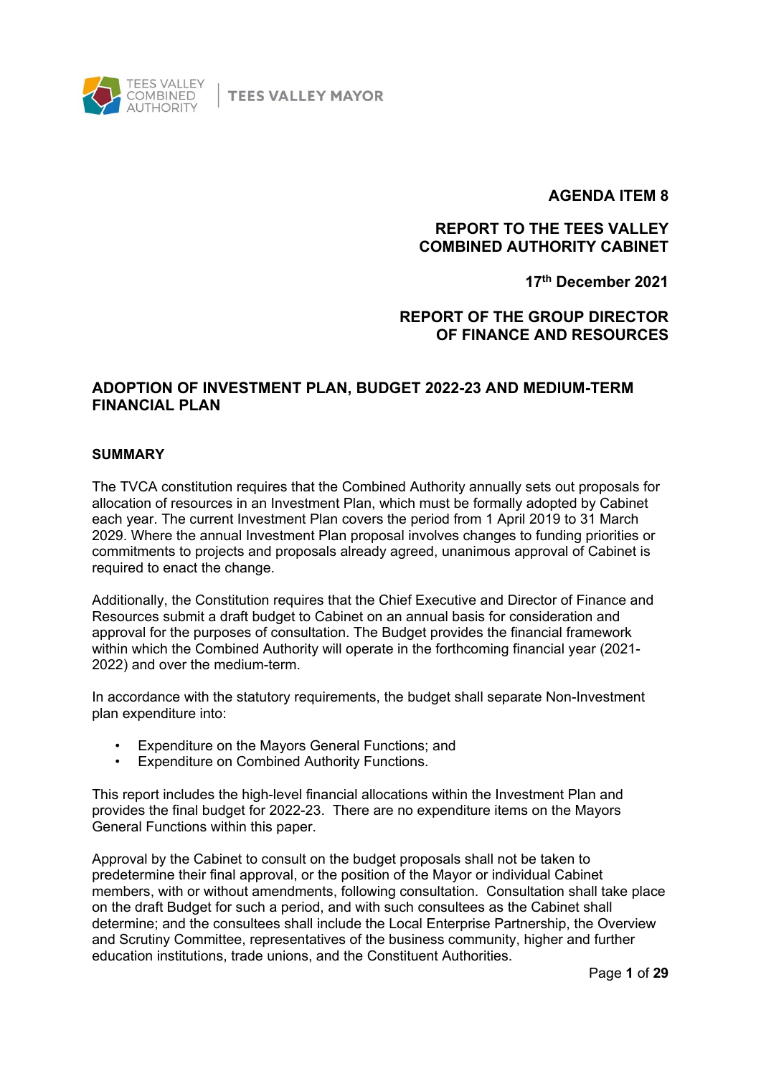

**TEES VALLEY MAYOR** 

## **AGENDA ITEM 8**

## **REPORT TO THE TEES VALLEY COMBINED AUTHORITY CABINET**

**17th December 2021**

## **REPORT OF THE GROUP DIRECTOR OF FINANCE AND RESOURCES**

## **ADOPTION OF INVESTMENT PLAN, BUDGET 2022-23 AND MEDIUM-TERM FINANCIAL PLAN**

#### **SUMMARY**

The TVCA constitution requires that the Combined Authority annually sets out proposals for allocation of resources in an Investment Plan, which must be formally adopted by Cabinet each year. The current Investment Plan covers the period from 1 April 2019 to 31 March 2029. Where the annual Investment Plan proposal involves changes to funding priorities or commitments to projects and proposals already agreed, unanimous approval of Cabinet is required to enact the change.

Additionally, the Constitution requires that the Chief Executive and Director of Finance and Resources submit a draft budget to Cabinet on an annual basis for consideration and approval for the purposes of consultation. The Budget provides the financial framework within which the Combined Authority will operate in the forthcoming financial year (2021- 2022) and over the medium-term.

In accordance with the statutory requirements, the budget shall separate Non-Investment plan expenditure into:

- Expenditure on the Mayors General Functions; and
- Expenditure on Combined Authority Functions.

This report includes the high-level financial allocations within the Investment Plan and provides the final budget for 2022-23. There are no expenditure items on the Mayors General Functions within this paper.

Approval by the Cabinet to consult on the budget proposals shall not be taken to predetermine their final approval, or the position of the Mayor or individual Cabinet members, with or without amendments, following consultation. Consultation shall take place on the draft Budget for such a period, and with such consultees as the Cabinet shall determine; and the consultees shall include the Local Enterprise Partnership, the Overview and Scrutiny Committee, representatives of the business community, higher and further education institutions, trade unions, and the Constituent Authorities.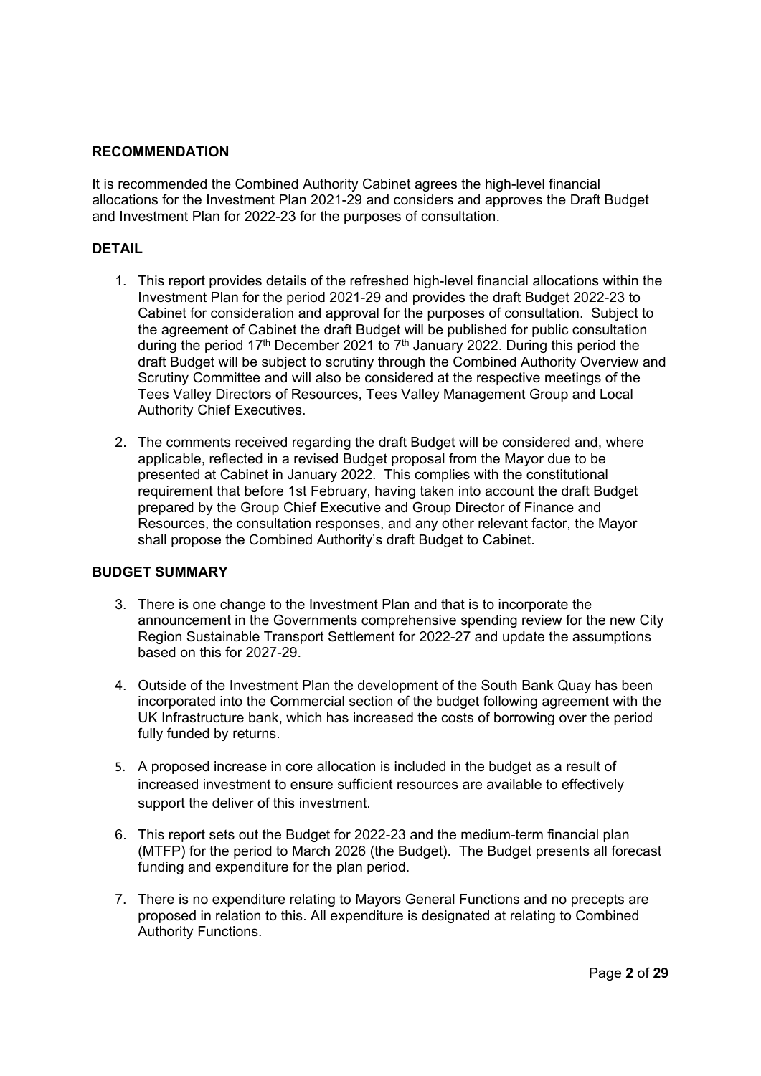#### **RECOMMENDATION**

It is recommended the Combined Authority Cabinet agrees the high-level financial allocations for the Investment Plan 2021-29 and considers and approves the Draft Budget and Investment Plan for 2022-23 for the purposes of consultation.

#### **DETAIL**

- 1. This report provides details of the refreshed high-level financial allocations within the Investment Plan for the period 2021-29 and provides the draft Budget 2022-23 to Cabinet for consideration and approval for the purposes of consultation. Subject to the agreement of Cabinet the draft Budget will be published for public consultation during the period 17<sup>th</sup> December 2021 to 7<sup>th</sup> January 2022. During this period the draft Budget will be subject to scrutiny through the Combined Authority Overview and Scrutiny Committee and will also be considered at the respective meetings of the Tees Valley Directors of Resources, Tees Valley Management Group and Local Authority Chief Executives.
- 2. The comments received regarding the draft Budget will be considered and, where applicable, reflected in a revised Budget proposal from the Mayor due to be presented at Cabinet in January 2022. This complies with the constitutional requirement that before 1st February, having taken into account the draft Budget prepared by the Group Chief Executive and Group Director of Finance and Resources, the consultation responses, and any other relevant factor, the Mayor shall propose the Combined Authority's draft Budget to Cabinet.

#### **BUDGET SUMMARY**

- 3. There is one change to the Investment Plan and that is to incorporate the announcement in the Governments comprehensive spending review for the new City Region Sustainable Transport Settlement for 2022-27 and update the assumptions based on this for 2027-29.
- 4. Outside of the Investment Plan the development of the South Bank Quay has been incorporated into the Commercial section of the budget following agreement with the UK Infrastructure bank, which has increased the costs of borrowing over the period fully funded by returns.
- 5. A proposed increase in core allocation is included in the budget as a result of increased investment to ensure sufficient resources are available to effectively support the deliver of this investment.
- 6. This report sets out the Budget for 2022-23 and the medium-term financial plan (MTFP) for the period to March 2026 (the Budget). The Budget presents all forecast funding and expenditure for the plan period.
- 7. There is no expenditure relating to Mayors General Functions and no precepts are proposed in relation to this. All expenditure is designated at relating to Combined Authority Functions.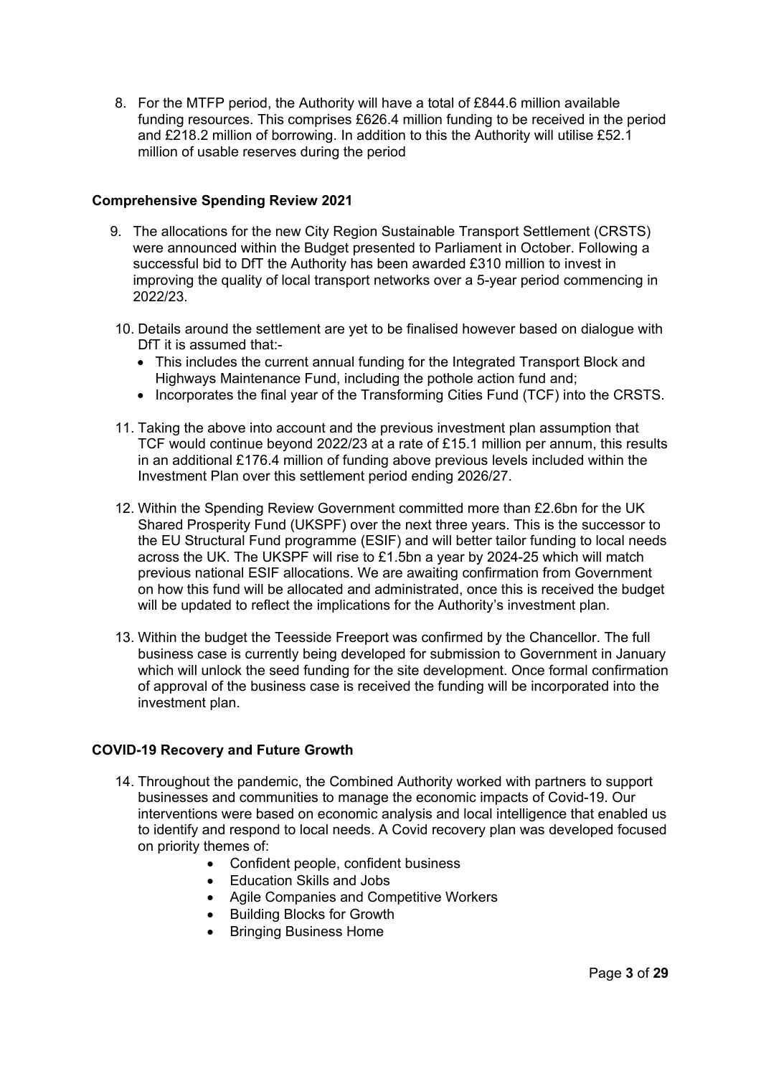8. For the MTFP period, the Authority will have a total of £844.6 million available funding resources. This comprises £626.4 million funding to be received in the period and £218.2 million of borrowing. In addition to this the Authority will utilise £52.1 million of usable reserves during the period

### **Comprehensive Spending Review 2021**

- 9. The allocations for the new City Region Sustainable Transport Settlement (CRSTS) were announced within the Budget presented to Parliament in October. Following a successful bid to DfT the Authority has been awarded £310 million to invest in improving the quality of local transport networks over a 5-year period commencing in 2022/23.
- 10. Details around the settlement are yet to be finalised however based on dialogue with DfT it is assumed that:-
	- This includes the current annual funding for the Integrated Transport Block and Highways Maintenance Fund, including the pothole action fund and;
	- Incorporates the final year of the Transforming Cities Fund (TCF) into the CRSTS.
- 11. Taking the above into account and the previous investment plan assumption that TCF would continue beyond 2022/23 at a rate of £15.1 million per annum, this results in an additional £176.4 million of funding above previous levels included within the Investment Plan over this settlement period ending 2026/27.
- 12. Within the Spending Review Government committed more than £2.6bn for the UK Shared Prosperity Fund (UKSPF) over the next three years. This is the successor to the EU Structural Fund programme (ESIF) and will better tailor funding to local needs across the UK. The UKSPF will rise to £1.5bn a year by 2024-25 which will match previous national ESIF allocations. We are awaiting confirmation from Government on how this fund will be allocated and administrated, once this is received the budget will be updated to reflect the implications for the Authority's investment plan.
- 13. Within the budget the Teesside Freeport was confirmed by the Chancellor. The full business case is currently being developed for submission to Government in January which will unlock the seed funding for the site development. Once formal confirmation of approval of the business case is received the funding will be incorporated into the investment plan.

#### **COVID-19 Recovery and Future Growth**

- 14. Throughout the pandemic, the Combined Authority worked with partners to support businesses and communities to manage the economic impacts of Covid-19. Our interventions were based on economic analysis and local intelligence that enabled us to identify and respond to local needs. A Covid recovery plan was developed focused on priority themes of:
	- Confident people, confident business
	- Education Skills and Jobs
	- Agile Companies and Competitive Workers
	- Building Blocks for Growth
	- Bringing Business Home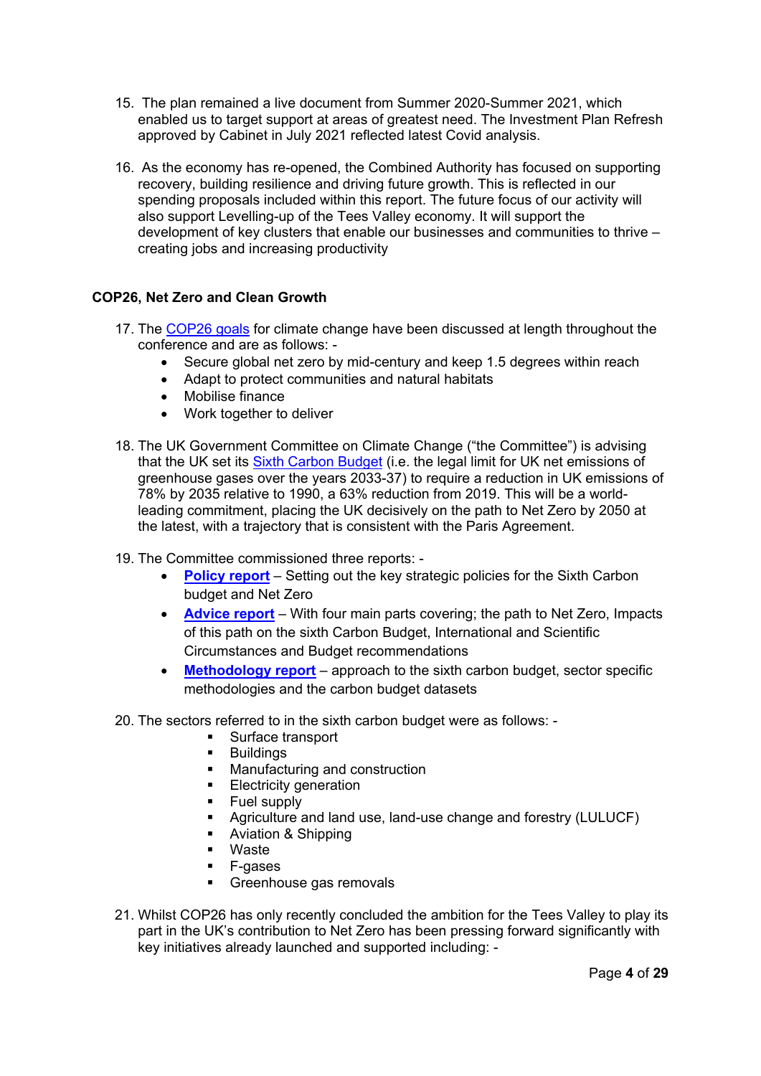- 15. The plan remained a live document from Summer 2020-Summer 2021, which enabled us to target support at areas of greatest need. The Investment Plan Refresh approved by Cabinet in July 2021 reflected latest Covid analysis.
- 16. As the economy has re-opened, the Combined Authority has focused on supporting recovery, building resilience and driving future growth. This is reflected in our spending proposals included within this report. The future focus of our activity will also support Levelling-up of the Tees Valley economy. It will support the development of key clusters that enable our businesses and communities to thrive – creating jobs and increasing productivity

## **COP26, Net Zero and Clean Growth**

- 17. The [COP26 goals](https://ukcop26.org/cop26-goals/) for climate change have been discussed at length throughout the conference and are as follows: -
	- Secure global net zero by mid-century and keep 1.5 degrees within reach
	- Adapt to protect communities and natural habitats
	- Mobilise finance
	- Work together to deliver
- 18. The UK Government Committee on Climate Change ("the Committee") is advising that the UK set its [Sixth Carbon Budget](https://www.theccc.org.uk/wp-content/uploads/2020/12/The-Sixth-Carbon-Budget-The-UKs-path-to-Net-Zero.pdf) (i.e. the legal limit for UK net emissions of greenhouse gases over the years 2033-37) to require a reduction in UK emissions of 78% by 2035 relative to 1990, a 63% reduction from 2019. This will be a worldleading commitment, placing the UK decisively on the path to Net Zero by 2050 at the latest, with a trajectory that is consistent with the Paris Agreement.
- 19. The Committee commissioned three reports:
	- **[Policy report](https://www.theccc.org.uk/wp-content/uploads/2020/12/Policies-for-the-Sixth-Carbon-Budget-and-Net-Zero.pdf)** Setting out the key strategic policies for the Sixth Carbon budget and Net Zero
	- **[Advice report](https://www.theccc.org.uk/publication/independent-assessment-of-uk-climate-risk/)** With four main parts covering; the path to Net Zero, Impacts of this path on the sixth Carbon Budget, International and Scientific Circumstances and Budget recommendations
	- **[Methodology report](https://www.theccc.org.uk/wp-content/uploads/2020/12/The-Sixth-Carbon-Budget-Methodology-Report.pdf)** approach to the sixth carbon budget, sector specific methodologies and the carbon budget datasets
- 20. The sectors referred to in the sixth carbon budget were as follows:
	- **Surface transport**
	- **Buildings**
	- **Manufacturing and construction**
	- **Electricity generation**
	- **Fuel supply**
	- Agriculture and land use, land-use change and forestry (LULUCF)
	- **Aviation & Shipping**
	- Waste
	- F-gases
	- Greenhouse gas removals
- 21. Whilst COP26 has only recently concluded the ambition for the Tees Valley to play its part in the UK's contribution to Net Zero has been pressing forward significantly with key initiatives already launched and supported including: -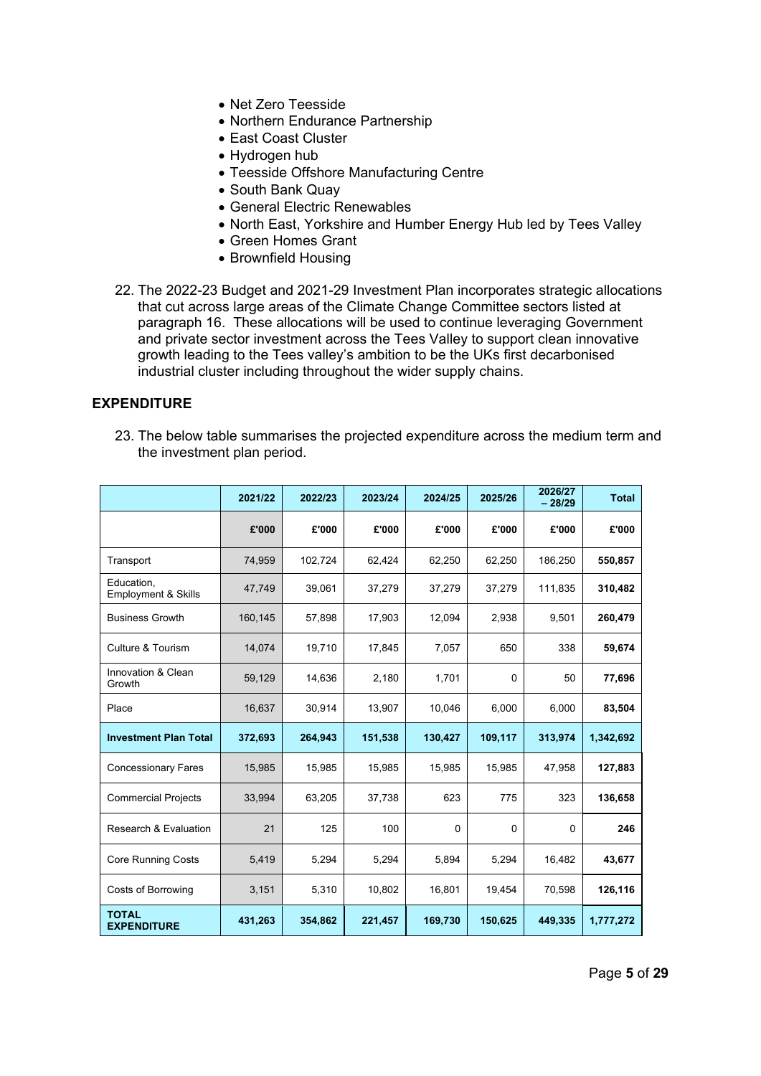- Net Zero Teesside
- Northern Endurance Partnership
- East Coast Cluster
- Hydrogen hub
- Teesside Offshore Manufacturing Centre
- South Bank Quay
- General Electric Renewables
- North East, Yorkshire and Humber Energy Hub led by Tees Valley
- Green Homes Grant
- Brownfield Housing
- 22. The 2022-23 Budget and 2021-29 Investment Plan incorporates strategic allocations that cut across large areas of the Climate Change Committee sectors listed at paragraph 16. These allocations will be used to continue leveraging Government and private sector investment across the Tees Valley to support clean innovative growth leading to the Tees valley's ambition to be the UKs first decarbonised industrial cluster including throughout the wider supply chains.

#### **EXPENDITURE**

23. The below table summarises the projected expenditure across the medium term and the investment plan period.

|                                              | 2021/22 | 2022/23 | 2023/24 | 2024/25  | 2025/26  | 2026/27<br>$-28/29$ | <b>Total</b> |
|----------------------------------------------|---------|---------|---------|----------|----------|---------------------|--------------|
|                                              | £'000   | £'000   | £'000   | £'000    | £'000    | £'000               | £'000        |
| Transport                                    | 74,959  | 102,724 | 62,424  | 62,250   | 62,250   | 186,250             | 550,857      |
| Education.<br><b>Employment &amp; Skills</b> | 47,749  | 39,061  | 37,279  | 37,279   | 37,279   | 111,835             | 310,482      |
| <b>Business Growth</b>                       | 160,145 | 57,898  | 17,903  | 12,094   | 2,938    | 9,501               | 260,479      |
| Culture & Tourism                            | 14,074  | 19,710  | 17,845  | 7,057    | 650      | 338                 | 59,674       |
| Innovation & Clean<br>Growth                 | 59,129  | 14,636  | 2,180   | 1,701    | $\Omega$ | 50                  | 77,696       |
| Place                                        | 16,637  | 30,914  | 13,907  | 10,046   | 6,000    | 6,000               | 83,504       |
| <b>Investment Plan Total</b>                 | 372,693 | 264,943 | 151,538 | 130,427  | 109,117  | 313,974             | 1,342,692    |
| <b>Concessionary Fares</b>                   | 15,985  | 15,985  | 15,985  | 15,985   | 15,985   | 47,958              | 127,883      |
| <b>Commercial Projects</b>                   | 33,994  | 63,205  | 37,738  | 623      | 775      | 323                 | 136,658      |
| <b>Research &amp; Evaluation</b>             | 21      | 125     | 100     | $\Omega$ | $\Omega$ | $\Omega$            | 246          |
| <b>Core Running Costs</b>                    | 5,419   | 5,294   | 5,294   | 5,894    | 5,294    | 16,482              | 43,677       |
| <b>Costs of Borrowing</b>                    | 3,151   | 5,310   | 10,802  | 16,801   | 19,454   | 70,598              | 126,116      |
| <b>TOTAL</b><br><b>EXPENDITURE</b>           | 431,263 | 354,862 | 221,457 | 169,730  | 150,625  | 449,335             | 1,777,272    |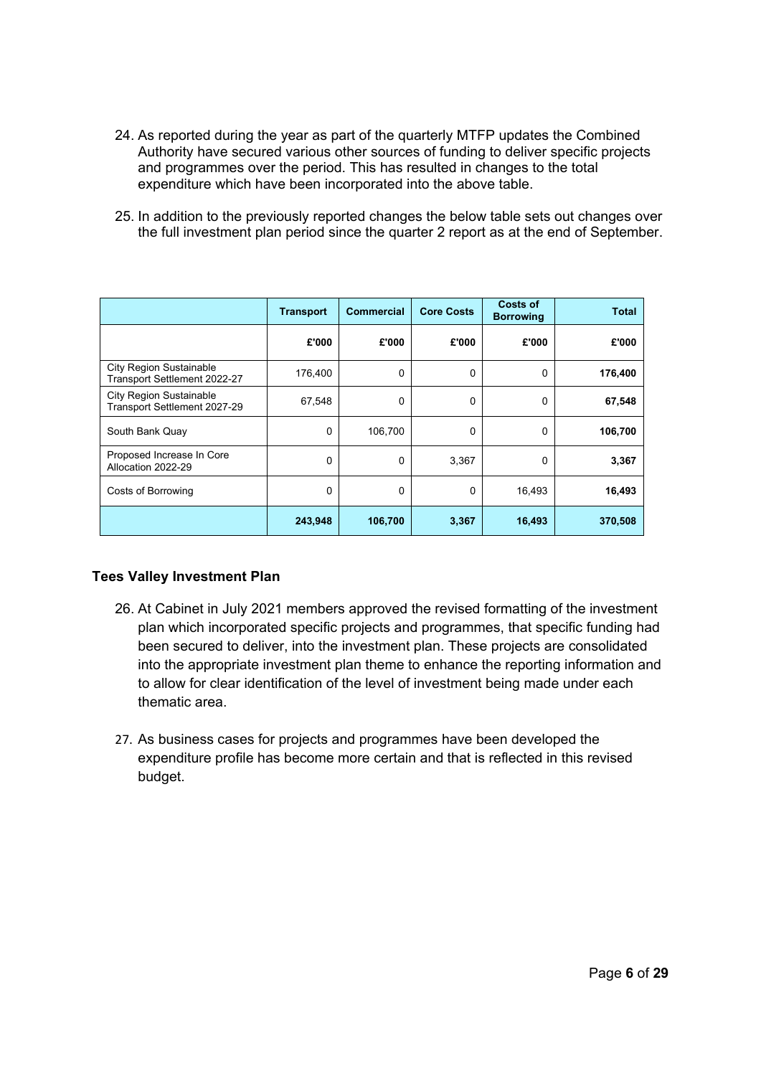- 24. As reported during the year as part of the quarterly MTFP updates the Combined Authority have secured various other sources of funding to deliver specific projects and programmes over the period. This has resulted in changes to the total expenditure which have been incorporated into the above table.
- 25. In addition to the previously reported changes the below table sets out changes over the full investment plan period since the quarter 2 report as at the end of September.

|                                                                | <b>Transport</b> | <b>Commercial</b> | <b>Core Costs</b> | Costs of<br><b>Borrowing</b> | <b>Total</b> |
|----------------------------------------------------------------|------------------|-------------------|-------------------|------------------------------|--------------|
|                                                                | £'000            | £'000             | £'000             | £'000                        | £'000        |
| <b>City Region Sustainable</b><br>Transport Settlement 2022-27 | 176,400          | 0                 | $\Omega$          | 0                            | 176,400      |
| <b>City Region Sustainable</b><br>Transport Settlement 2027-29 | 67,548           | 0                 | 0                 | 0                            | 67,548       |
| South Bank Quay                                                | $\Omega$         | 106,700           | $\Omega$          | 0                            | 106,700      |
| Proposed Increase In Core<br>Allocation 2022-29                | $\Omega$         | $\Omega$          | 3,367             | 0                            | 3,367        |
| Costs of Borrowing                                             | $\Omega$         | 0                 | 0                 | 16,493                       | 16,493       |
|                                                                | 243,948          | 106,700           | 3,367             | 16,493                       | 370,508      |

#### **Tees Valley Investment Plan**

- 26. At Cabinet in July 2021 members approved the revised formatting of the investment plan which incorporated specific projects and programmes, that specific funding had been secured to deliver, into the investment plan. These projects are consolidated into the appropriate investment plan theme to enhance the reporting information and to allow for clear identification of the level of investment being made under each thematic area.
- 27. As business cases for projects and programmes have been developed the expenditure profile has become more certain and that is reflected in this revised budget.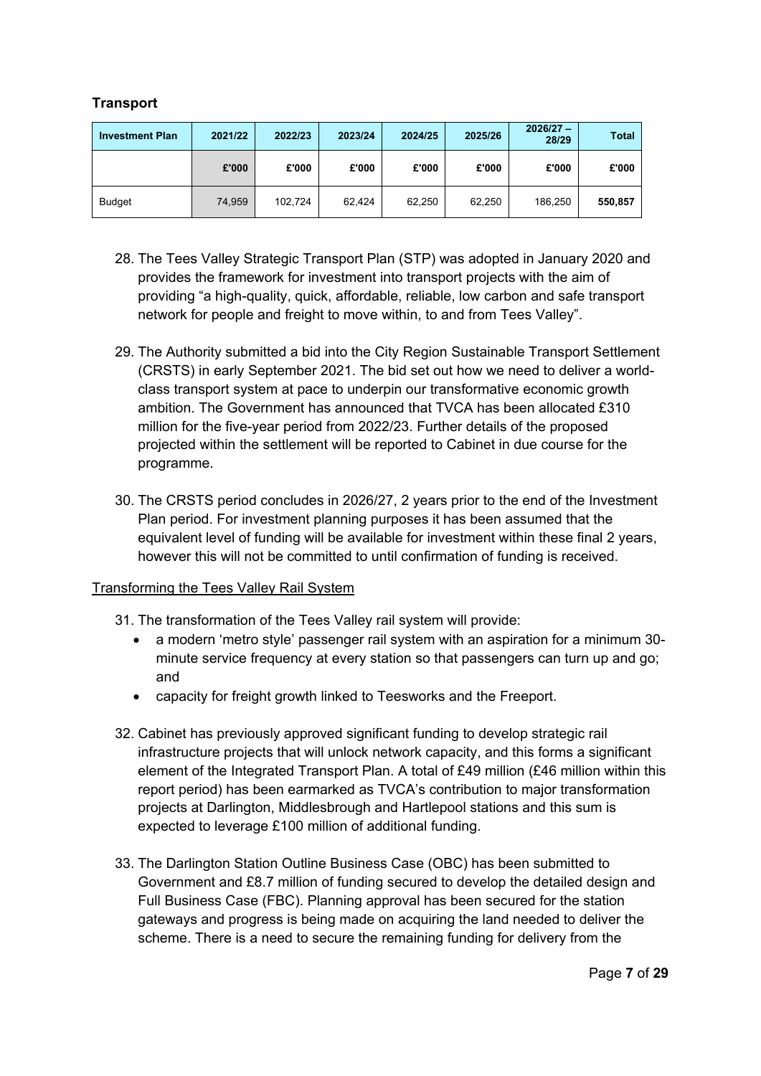## **Transport**

| <b>Investment Plan</b> | 2021/22 | 2022/23 | 2023/24 | 2024/25 | 2025/26 | $2026/27 -$<br>28/29 | <b>Total</b> |
|------------------------|---------|---------|---------|---------|---------|----------------------|--------------|
|                        | £'000   | £'000   | £'000   | £'000   | £'000   | £'000                | £'000        |
| <b>Budget</b>          | 74.959  | 102.724 | 62.424  | 62,250  | 62,250  | 186,250              | 550,857      |

- 28. The Tees Valley Strategic Transport Plan (STP) was adopted in January 2020 and provides the framework for investment into transport projects with the aim of providing "a high-quality, quick, affordable, reliable, low carbon and safe transport network for people and freight to move within, to and from Tees Valley".
- 29. The Authority submitted a bid into the City Region Sustainable Transport Settlement (CRSTS) in early September 2021. The bid set out how we need to deliver a worldclass transport system at pace to underpin our transformative economic growth ambition. The Government has announced that TVCA has been allocated £310 million for the five-year period from 2022/23. Further details of the proposed projected within the settlement will be reported to Cabinet in due course for the programme.
- 30. The CRSTS period concludes in 2026/27, 2 years prior to the end of the Investment Plan period. For investment planning purposes it has been assumed that the equivalent level of funding will be available for investment within these final 2 years, however this will not be committed to until confirmation of funding is received.

#### Transforming the Tees Valley Rail System

- 31. The transformation of the Tees Valley rail system will provide:
	- a modern 'metro style' passenger rail system with an aspiration for a minimum 30 minute service frequency at every station so that passengers can turn up and go; and
	- capacity for freight growth linked to Teesworks and the Freeport.
- 32. Cabinet has previously approved significant funding to develop strategic rail infrastructure projects that will unlock network capacity, and this forms a significant element of the Integrated Transport Plan. A total of £49 million (£46 million within this report period) has been earmarked as TVCA's contribution to major transformation projects at Darlington, Middlesbrough and Hartlepool stations and this sum is expected to leverage £100 million of additional funding.
- 33. The Darlington Station Outline Business Case (OBC) has been submitted to Government and £8.7 million of funding secured to develop the detailed design and Full Business Case (FBC). Planning approval has been secured for the station gateways and progress is being made on acquiring the land needed to deliver the scheme. There is a need to secure the remaining funding for delivery from the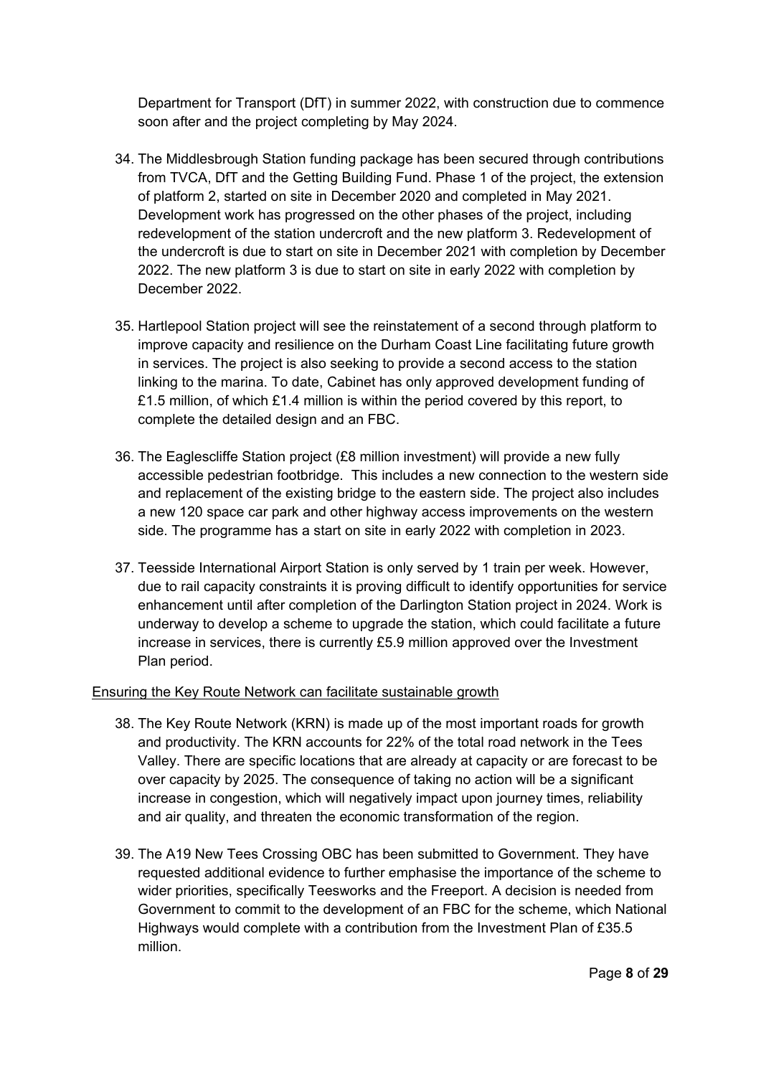Department for Transport (DfT) in summer 2022, with construction due to commence soon after and the project completing by May 2024.

- 34. The Middlesbrough Station funding package has been secured through contributions from TVCA, DfT and the Getting Building Fund. Phase 1 of the project, the extension of platform 2, started on site in December 2020 and completed in May 2021. Development work has progressed on the other phases of the project, including redevelopment of the station undercroft and the new platform 3. Redevelopment of the undercroft is due to start on site in December 2021 with completion by December 2022. The new platform 3 is due to start on site in early 2022 with completion by December 2022.
- 35. Hartlepool Station project will see the reinstatement of a second through platform to improve capacity and resilience on the Durham Coast Line facilitating future growth in services. The project is also seeking to provide a second access to the station linking to the marina. To date, Cabinet has only approved development funding of £1.5 million, of which £1.4 million is within the period covered by this report, to complete the detailed design and an FBC.
- 36. The Eaglescliffe Station project (£8 million investment) will provide a new fully accessible pedestrian footbridge. This includes a new connection to the western side and replacement of the existing bridge to the eastern side. The project also includes a new 120 space car park and other highway access improvements on the western side. The programme has a start on site in early 2022 with completion in 2023.
- 37. Teesside International Airport Station is only served by 1 train per week. However, due to rail capacity constraints it is proving difficult to identify opportunities for service enhancement until after completion of the Darlington Station project in 2024. Work is underway to develop a scheme to upgrade the station, which could facilitate a future increase in services, there is currently £5.9 million approved over the Investment Plan period.

#### Ensuring the Key Route Network can facilitate sustainable growth

- 38. The Key Route Network (KRN) is made up of the most important roads for growth and productivity. The KRN accounts for 22% of the total road network in the Tees Valley. There are specific locations that are already at capacity or are forecast to be over capacity by 2025. The consequence of taking no action will be a significant increase in congestion, which will negatively impact upon journey times, reliability and air quality, and threaten the economic transformation of the region.
- 39. The A19 New Tees Crossing OBC has been submitted to Government. They have requested additional evidence to further emphasise the importance of the scheme to wider priorities, specifically Teesworks and the Freeport. A decision is needed from Government to commit to the development of an FBC for the scheme, which National Highways would complete with a contribution from the Investment Plan of £35.5 million.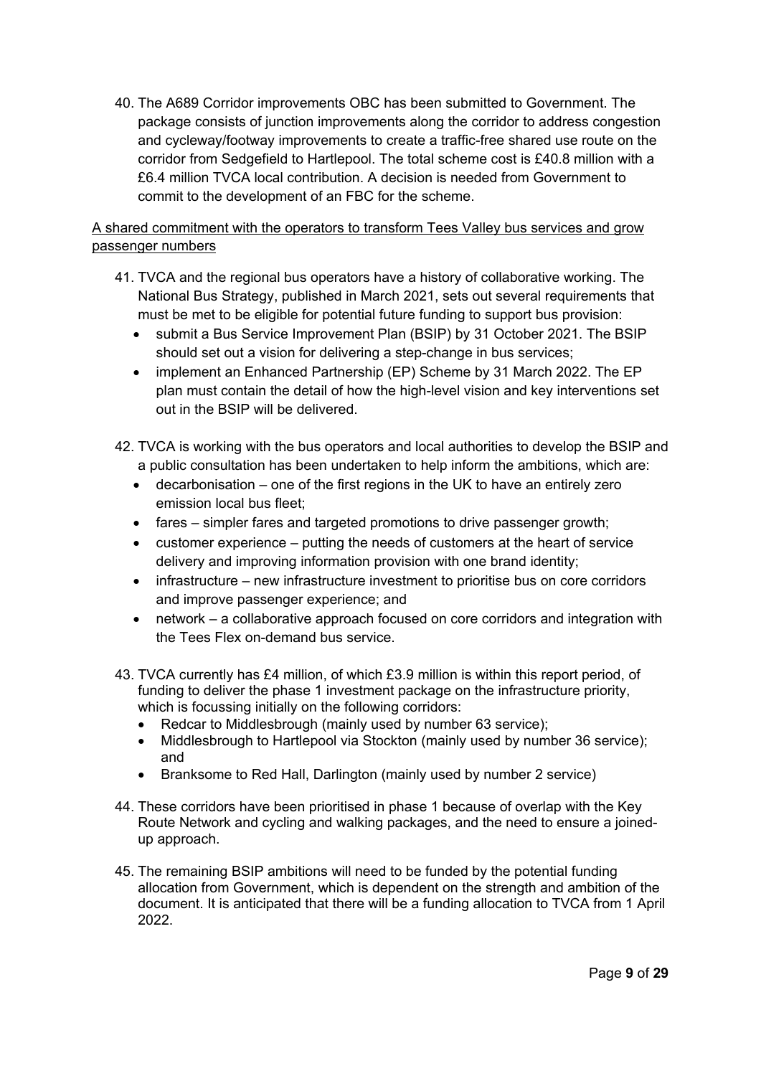40. The A689 Corridor improvements OBC has been submitted to Government. The package consists of junction improvements along the corridor to address congestion and cycleway/footway improvements to create a traffic-free shared use route on the corridor from Sedgefield to Hartlepool. The total scheme cost is £40.8 million with a £6.4 million TVCA local contribution. A decision is needed from Government to commit to the development of an FBC for the scheme.

A shared commitment with the operators to transform Tees Valley bus services and grow passenger numbers

- 41. TVCA and the regional bus operators have a history of collaborative working. The National Bus Strategy, published in March 2021, sets out several requirements that must be met to be eligible for potential future funding to support bus provision:
	- submit a Bus Service Improvement Plan (BSIP) by 31 October 2021. The BSIP should set out a vision for delivering a step-change in bus services;
	- implement an Enhanced Partnership (EP) Scheme by 31 March 2022. The EP plan must contain the detail of how the high-level vision and key interventions set out in the BSIP will be delivered.
- 42. TVCA is working with the bus operators and local authorities to develop the BSIP and a public consultation has been undertaken to help inform the ambitions, which are:
	- decarbonisation one of the first regions in the UK to have an entirely zero emission local bus fleet;
	- fares simpler fares and targeted promotions to drive passenger growth;
	- customer experience putting the needs of customers at the heart of service delivery and improving information provision with one brand identity;
	- infrastructure new infrastructure investment to prioritise bus on core corridors and improve passenger experience; and
	- network a collaborative approach focused on core corridors and integration with the Tees Flex on-demand bus service.
- 43. TVCA currently has £4 million, of which £3.9 million is within this report period, of funding to deliver the phase 1 investment package on the infrastructure priority, which is focussing initially on the following corridors:
	- Redcar to Middlesbrough (mainly used by number 63 service);
	- Middlesbrough to Hartlepool via Stockton (mainly used by number 36 service); and
	- Branksome to Red Hall, Darlington (mainly used by number 2 service)
- 44. These corridors have been prioritised in phase 1 because of overlap with the Key Route Network and cycling and walking packages, and the need to ensure a joinedup approach.
- 45. The remaining BSIP ambitions will need to be funded by the potential funding allocation from Government, which is dependent on the strength and ambition of the document. It is anticipated that there will be a funding allocation to TVCA from 1 April 2022.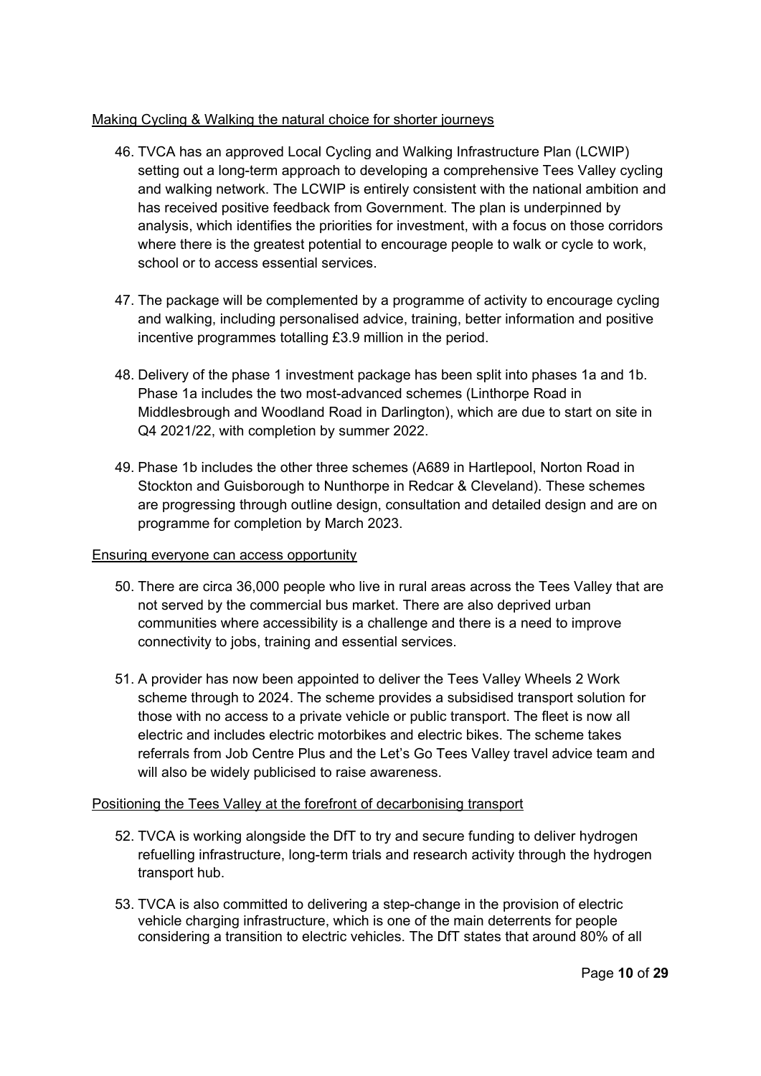## Making Cycling & Walking the natural choice for shorter journeys

- 46. TVCA has an approved Local Cycling and Walking Infrastructure Plan (LCWIP) setting out a long-term approach to developing a comprehensive Tees Valley cycling and walking network. The LCWIP is entirely consistent with the national ambition and has received positive feedback from Government. The plan is underpinned by analysis, which identifies the priorities for investment, with a focus on those corridors where there is the greatest potential to encourage people to walk or cycle to work, school or to access essential services.
- 47. The package will be complemented by a programme of activity to encourage cycling and walking, including personalised advice, training, better information and positive incentive programmes totalling £3.9 million in the period.
- 48. Delivery of the phase 1 investment package has been split into phases 1a and 1b. Phase 1a includes the two most-advanced schemes (Linthorpe Road in Middlesbrough and Woodland Road in Darlington), which are due to start on site in Q4 2021/22, with completion by summer 2022.
- 49. Phase 1b includes the other three schemes (A689 in Hartlepool, Norton Road in Stockton and Guisborough to Nunthorpe in Redcar & Cleveland). These schemes are progressing through outline design, consultation and detailed design and are on programme for completion by March 2023.

#### Ensuring everyone can access opportunity

- 50. There are circa 36,000 people who live in rural areas across the Tees Valley that are not served by the commercial bus market. There are also deprived urban communities where accessibility is a challenge and there is a need to improve connectivity to jobs, training and essential services.
- 51. A provider has now been appointed to deliver the Tees Valley Wheels 2 Work scheme through to 2024. The scheme provides a subsidised transport solution for those with no access to a private vehicle or public transport. The fleet is now all electric and includes electric motorbikes and electric bikes. The scheme takes referrals from Job Centre Plus and the Let's Go Tees Valley travel advice team and will also be widely publicised to raise awareness.

## Positioning the Tees Valley at the forefront of decarbonising transport

- 52. TVCA is working alongside the DfT to try and secure funding to deliver hydrogen refuelling infrastructure, long-term trials and research activity through the hydrogen transport hub.
- 53. TVCA is also committed to delivering a step-change in the provision of electric vehicle charging infrastructure, which is one of the main deterrents for people considering a transition to electric vehicles. The DfT states that around 80% of all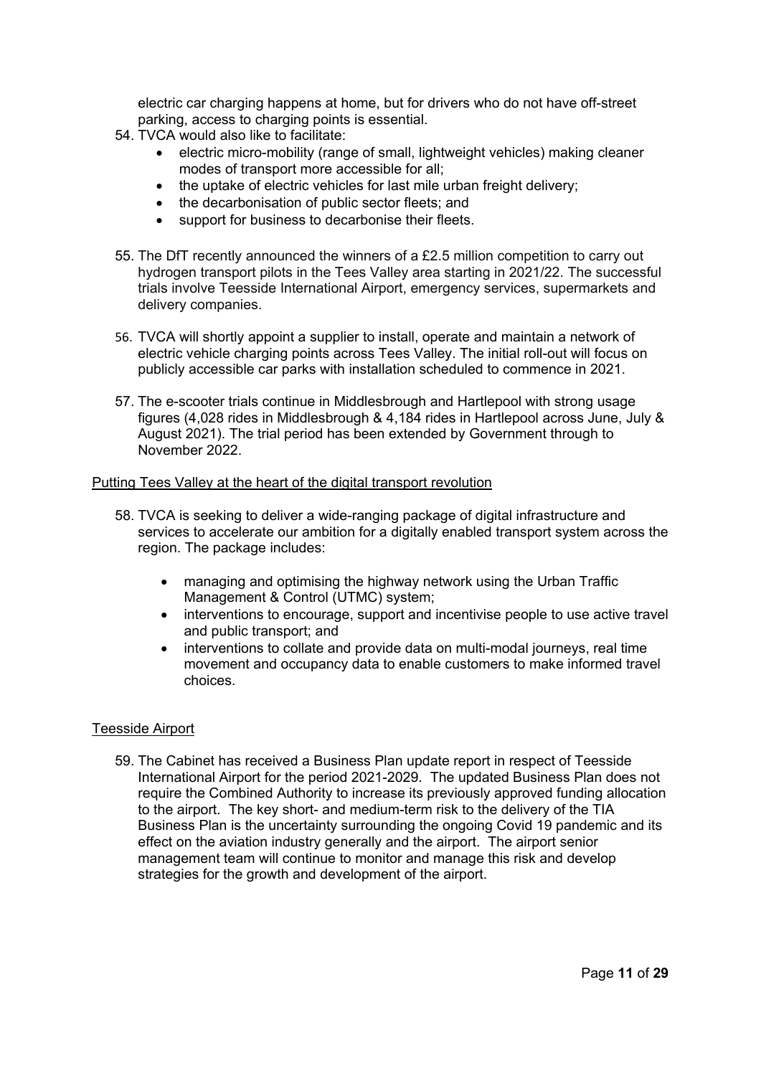electric car charging happens at home, but for drivers who do not have off-street parking, access to charging points is essential.

- 54. TVCA would also like to facilitate:
	- electric micro-mobility (range of small, lightweight vehicles) making cleaner modes of transport more accessible for all;
	- the uptake of electric vehicles for last mile urban freight delivery;
	- the decarbonisation of public sector fleets; and
	- support for business to decarbonise their fleets.
- 55. The DfT recently announced the winners of a £2.5 million competition to carry out hydrogen transport pilots in the Tees Valley area starting in 2021/22. The successful trials involve Teesside International Airport, emergency services, supermarkets and delivery companies.
- 56. TVCA will shortly appoint a supplier to install, operate and maintain a network of electric vehicle charging points across Tees Valley. The initial roll-out will focus on publicly accessible car parks with installation scheduled to commence in 2021.
- 57. The e-scooter trials continue in Middlesbrough and Hartlepool with strong usage figures (4,028 rides in Middlesbrough & 4,184 rides in Hartlepool across June, July & August 2021). The trial period has been extended by Government through to November 2022.

#### Putting Tees Valley at the heart of the digital transport revolution

- 58. TVCA is seeking to deliver a wide-ranging package of digital infrastructure and services to accelerate our ambition for a digitally enabled transport system across the region. The package includes:
	- managing and optimising the highway network using the Urban Traffic Management & Control (UTMC) system;
	- interventions to encourage, support and incentivise people to use active travel and public transport; and
	- interventions to collate and provide data on multi-modal journeys, real time movement and occupancy data to enable customers to make informed travel choices.

#### Teesside Airport

59. The Cabinet has received a Business Plan update report in respect of Teesside International Airport for the period 2021-2029. The updated Business Plan does not require the Combined Authority to increase its previously approved funding allocation to the airport. The key short- and medium-term risk to the delivery of the TIA Business Plan is the uncertainty surrounding the ongoing Covid 19 pandemic and its effect on the aviation industry generally and the airport. The airport senior management team will continue to monitor and manage this risk and develop strategies for the growth and development of the airport.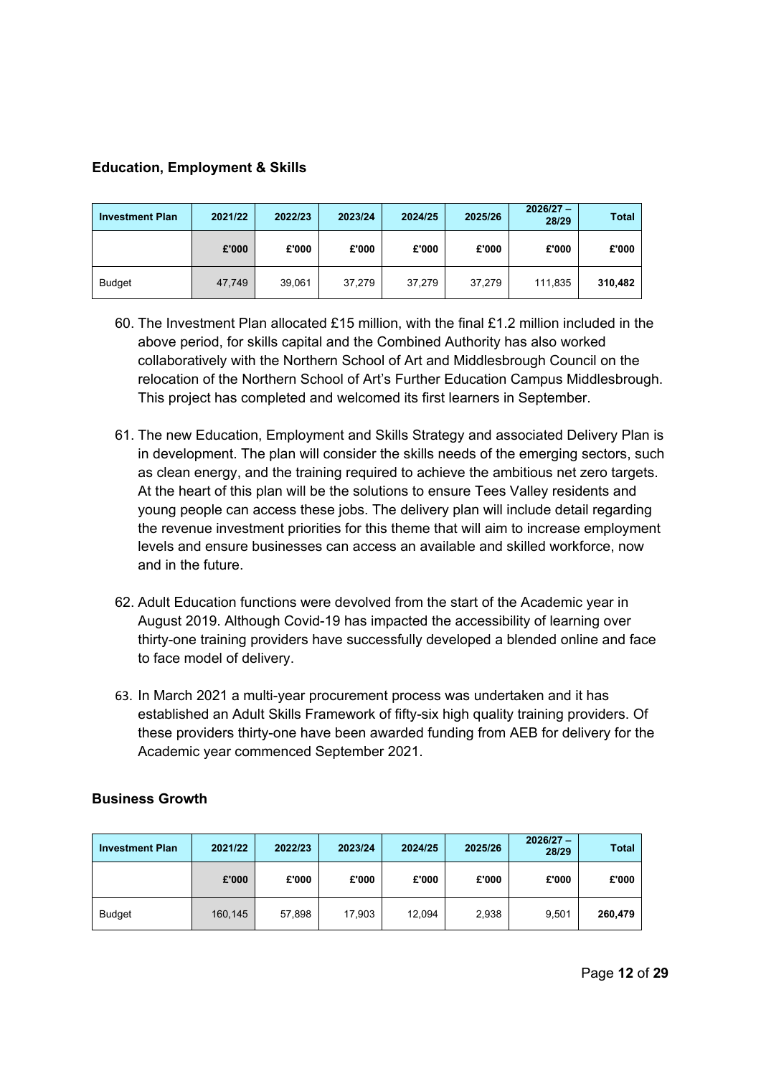## **Education, Employment & Skills**

| <b>Investment Plan</b> | 2021/22 | 2022/23 | 2023/24 | 2024/25 | 2025/26 | $2026/27 -$<br>28/29 | <b>Total</b> |
|------------------------|---------|---------|---------|---------|---------|----------------------|--------------|
|                        | £'000   | £'000   | £'000   | £'000   | £'000   | £'000                | £'000        |
| <b>Budget</b>          | 47.749  | 39,061  | 37,279  | 37.279  | 37.279  | 111.835              | 310.482      |

- 60. The Investment Plan allocated £15 million, with the final £1.2 million included in the above period, for skills capital and the Combined Authority has also worked collaboratively with the Northern School of Art and Middlesbrough Council on the relocation of the Northern School of Art's Further Education Campus Middlesbrough. This project has completed and welcomed its first learners in September.
- 61. The new Education, Employment and Skills Strategy and associated Delivery Plan is in development. The plan will consider the skills needs of the emerging sectors, such as clean energy, and the training required to achieve the ambitious net zero targets. At the heart of this plan will be the solutions to ensure Tees Valley residents and young people can access these jobs. The delivery plan will include detail regarding the revenue investment priorities for this theme that will aim to increase employment levels and ensure businesses can access an available and skilled workforce, now and in the future.
- 62. Adult Education functions were devolved from the start of the Academic year in August 2019. Although Covid-19 has impacted the accessibility of learning over thirty-one training providers have successfully developed a blended online and face to face model of delivery.
- 63. In March 2021 a multi-year procurement process was undertaken and it has established an Adult Skills Framework of fifty-six high quality training providers. Of these providers thirty-one have been awarded funding from AEB for delivery for the Academic year commenced September 2021.

## **Business Growth**

| <b>Investment Plan</b> | 2021/22 | 2022/23 | 2023/24 | 2024/25 | 2025/26 | $2026/27 -$<br>28/29 | <b>Total</b> |
|------------------------|---------|---------|---------|---------|---------|----------------------|--------------|
|                        | £'000   | £'000   | £'000   | £'000   | £'000   | £'000                | £'000        |
| <b>Budget</b>          | 160,145 | 57,898  | 17.903  | 12.094  | 2,938   | 9.501                | 260.479      |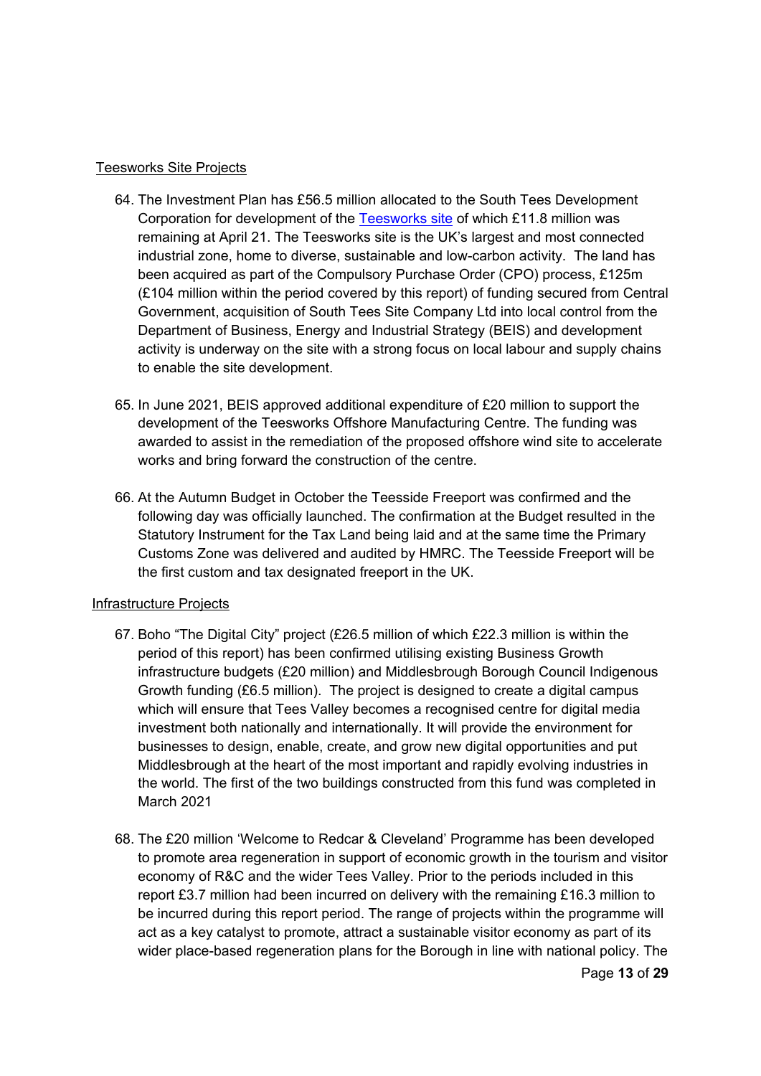#### Teesworks Site Projects

- 64. The Investment Plan has £56.5 million allocated to the South Tees Development Corporation for development of the [Teesworks site](http://www.teesworks.co.uk/) of which £11.8 million was remaining at April 21. The Teesworks site is the UK's largest and most connected industrial zone, home to diverse, sustainable and low-carbon activity. The land has been acquired as part of the Compulsory Purchase Order (CPO) process, £125m (£104 million within the period covered by this report) of funding secured from Central Government, acquisition of South Tees Site Company Ltd into local control from the Department of Business, Energy and Industrial Strategy (BEIS) and development activity is underway on the site with a strong focus on local labour and supply chains to enable the site development.
- 65. In June 2021, BEIS approved additional expenditure of £20 million to support the development of the Teesworks Offshore Manufacturing Centre. The funding was awarded to assist in the remediation of the proposed offshore wind site to accelerate works and bring forward the construction of the centre.
- 66. At the Autumn Budget in October the Teesside Freeport was confirmed and the following day was officially launched. The confirmation at the Budget resulted in the Statutory Instrument for the Tax Land being laid and at the same time the Primary Customs Zone was delivered and audited by HMRC. The Teesside Freeport will be the first custom and tax designated freeport in the UK.

#### Infrastructure Projects

- 67. Boho "The Digital City" project (£26.5 million of which £22.3 million is within the period of this report) has been confirmed utilising existing Business Growth infrastructure budgets (£20 million) and Middlesbrough Borough Council Indigenous Growth funding (£6.5 million). The project is designed to create a digital campus which will ensure that Tees Valley becomes a recognised centre for digital media investment both nationally and internationally. It will provide the environment for businesses to design, enable, create, and grow new digital opportunities and put Middlesbrough at the heart of the most important and rapidly evolving industries in the world. The first of the two buildings constructed from this fund was completed in March 2021
- 68. The £20 million 'Welcome to Redcar & Cleveland' Programme has been developed to promote area regeneration in support of economic growth in the tourism and visitor economy of R&C and the wider Tees Valley. Prior to the periods included in this report £3.7 million had been incurred on delivery with the remaining £16.3 million to be incurred during this report period. The range of projects within the programme will act as a key catalyst to promote, attract a sustainable visitor economy as part of its wider place-based regeneration plans for the Borough in line with national policy. The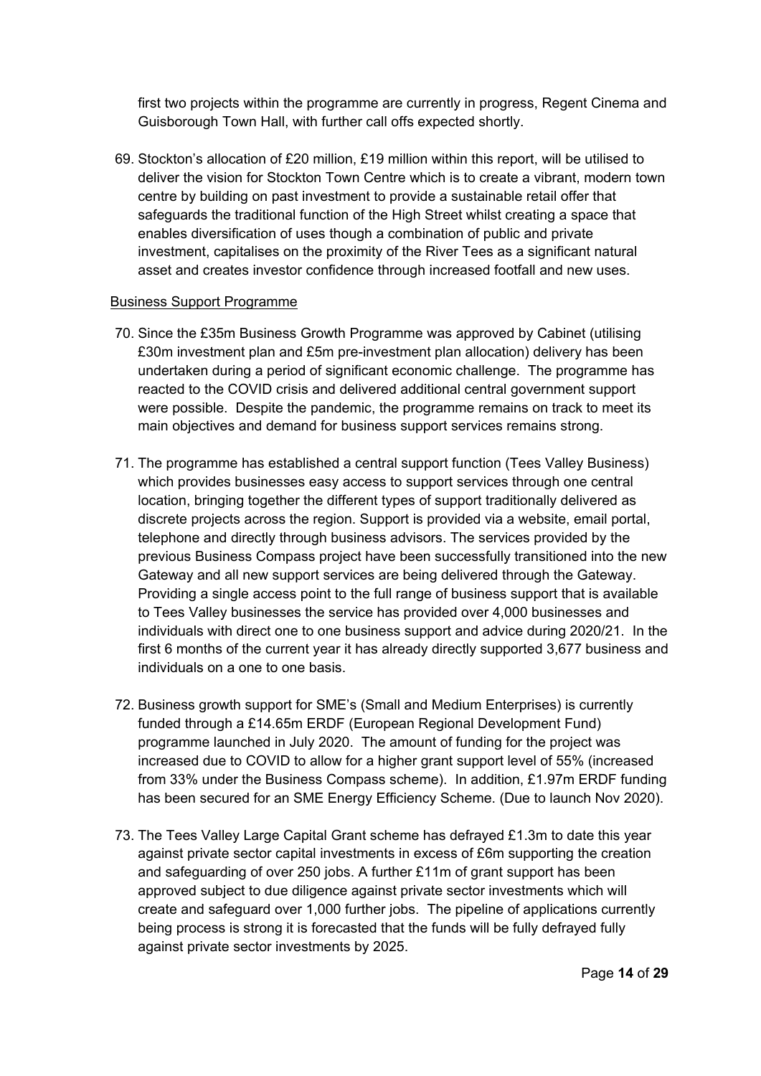first two projects within the programme are currently in progress, Regent Cinema and Guisborough Town Hall, with further call offs expected shortly.

69. Stockton's allocation of £20 million, £19 million within this report, will be utilised to deliver the vision for Stockton Town Centre which is to create a vibrant, modern town centre by building on past investment to provide a sustainable retail offer that safeguards the traditional function of the High Street whilst creating a space that enables diversification of uses though a combination of public and private investment, capitalises on the proximity of the River Tees as a significant natural asset and creates investor confidence through increased footfall and new uses.

#### Business Support Programme

- 70. Since the £35m Business Growth Programme was approved by Cabinet (utilising £30m investment plan and £5m pre-investment plan allocation) delivery has been undertaken during a period of significant economic challenge. The programme has reacted to the COVID crisis and delivered additional central government support were possible. Despite the pandemic, the programme remains on track to meet its main objectives and demand for business support services remains strong.
- 71. The programme has established a central support function (Tees Valley Business) which provides businesses easy access to support services through one central location, bringing together the different types of support traditionally delivered as discrete projects across the region. Support is provided via a website, email portal, telephone and directly through business advisors. The services provided by the previous Business Compass project have been successfully transitioned into the new Gateway and all new support services are being delivered through the Gateway. Providing a single access point to the full range of business support that is available to Tees Valley businesses the service has provided over 4,000 businesses and individuals with direct one to one business support and advice during 2020/21. In the first 6 months of the current year it has already directly supported 3,677 business and individuals on a one to one basis.
- 72. Business growth support for SME's (Small and Medium Enterprises) is currently funded through a £14.65m ERDF (European Regional Development Fund) programme launched in July 2020. The amount of funding for the project was increased due to COVID to allow for a higher grant support level of 55% (increased from 33% under the Business Compass scheme). In addition, £1.97m ERDF funding has been secured for an SME Energy Efficiency Scheme. (Due to launch Nov 2020).
- 73. The Tees Valley Large Capital Grant scheme has defrayed £1.3m to date this year against private sector capital investments in excess of £6m supporting the creation and safeguarding of over 250 jobs. A further £11m of grant support has been approved subject to due diligence against private sector investments which will create and safeguard over 1,000 further jobs. The pipeline of applications currently being process is strong it is forecasted that the funds will be fully defrayed fully against private sector investments by 2025.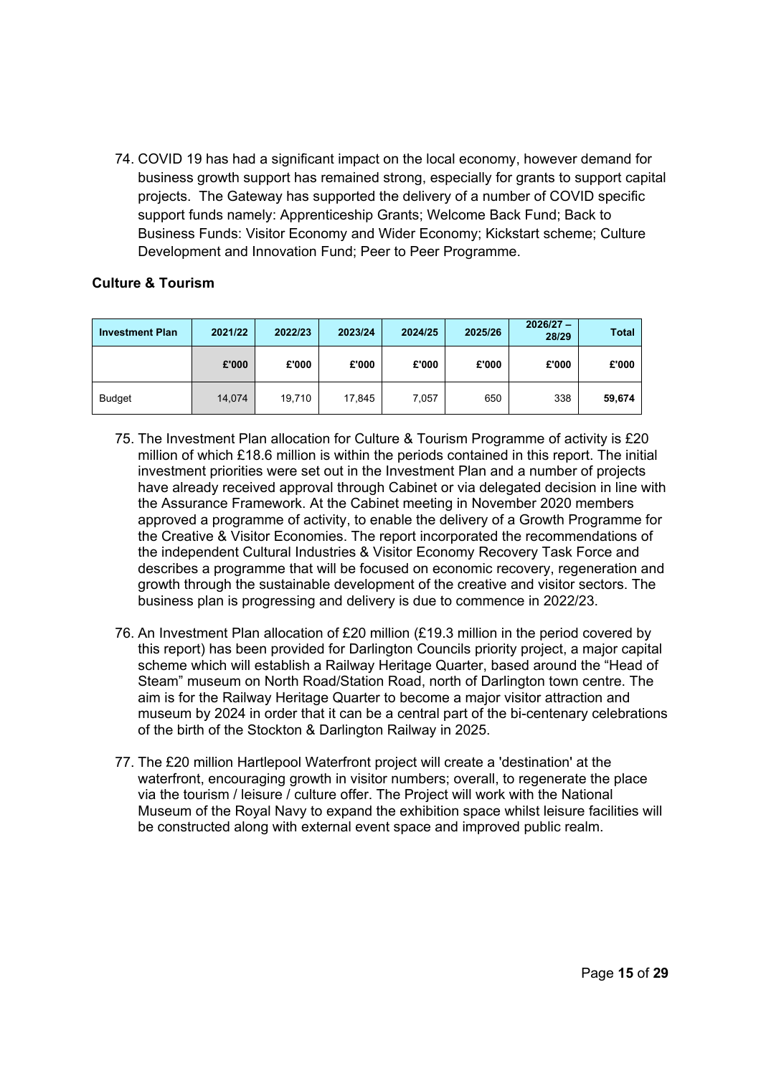74. COVID 19 has had a significant impact on the local economy, however demand for business growth support has remained strong, especially for grants to support capital projects. The Gateway has supported the delivery of a number of COVID specific support funds namely: Apprenticeship Grants; Welcome Back Fund; Back to Business Funds: Visitor Economy and Wider Economy; Kickstart scheme; Culture Development and Innovation Fund; Peer to Peer Programme.

## **Culture & Tourism**

| <b>Investment Plan</b> | 2021/22 | 2022/23 | 2023/24 | 2024/25 | 2025/26 | $2026/27 -$<br>28/29 | <b>Total</b> |
|------------------------|---------|---------|---------|---------|---------|----------------------|--------------|
|                        | £'000   | £'000   | £'000   | £'000   | £'000   | £'000                | £'000        |
| <b>Budget</b>          | 14,074  | 19,710  | 17,845  | 7,057   | 650     | 338                  | 59,674       |

- 75. The Investment Plan allocation for Culture & Tourism Programme of activity is £20 million of which £18.6 million is within the periods contained in this report. The initial investment priorities were set out in the Investment Plan and a number of projects have already received approval through Cabinet or via delegated decision in line with the Assurance Framework. At the Cabinet meeting in November 2020 members approved a programme of activity, to enable the delivery of a Growth Programme for the Creative & Visitor Economies. The report incorporated the recommendations of the independent Cultural Industries & Visitor Economy Recovery Task Force and describes a programme that will be focused on economic recovery, regeneration and growth through the sustainable development of the creative and visitor sectors. The business plan is progressing and delivery is due to commence in 2022/23.
- 76. An Investment Plan allocation of £20 million (£19.3 million in the period covered by this report) has been provided for Darlington Councils priority project, a major capital scheme which will establish a Railway Heritage Quarter, based around the "Head of Steam" museum on North Road/Station Road, north of Darlington town centre. The aim is for the Railway Heritage Quarter to become a major visitor attraction and museum by 2024 in order that it can be a central part of the bi-centenary celebrations of the birth of the Stockton & Darlington Railway in 2025.
- 77. The £20 million Hartlepool Waterfront project will create a 'destination' at the waterfront, encouraging growth in visitor numbers; overall, to regenerate the place via the tourism / leisure / culture offer. The Project will work with the National Museum of the Royal Navy to expand the exhibition space whilst leisure facilities will be constructed along with external event space and improved public realm.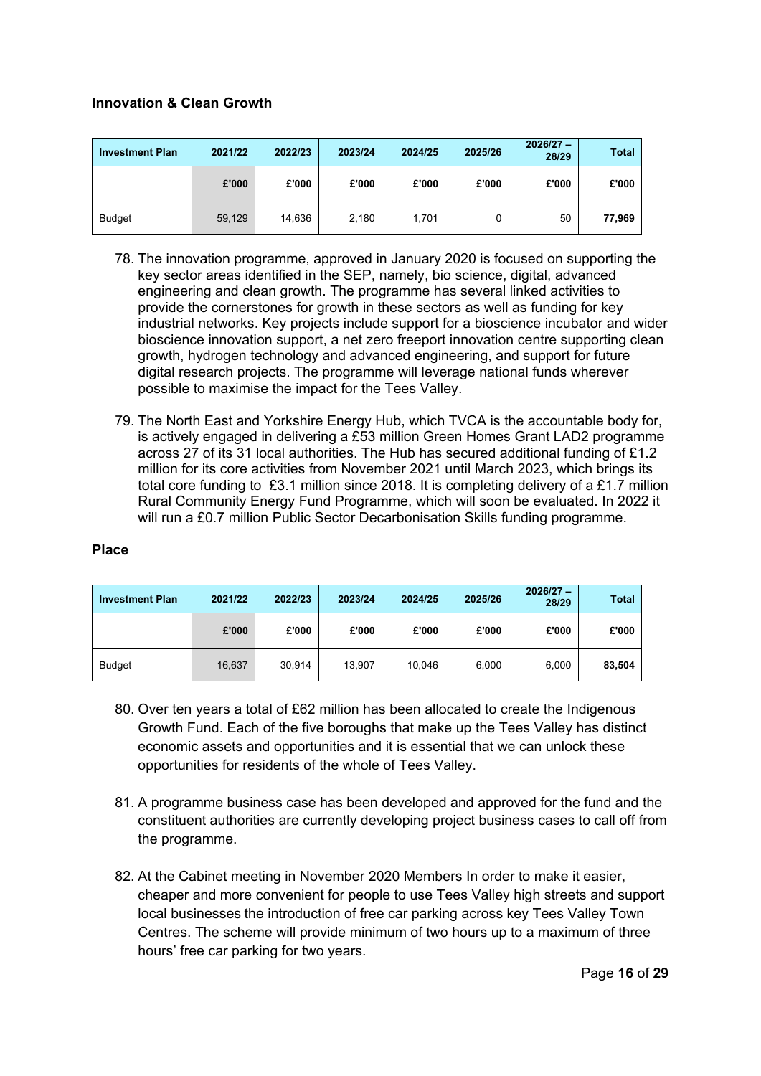## **Innovation & Clean Growth**

| <b>Investment Plan</b> | 2021/22 | 2022/23 | 2023/24 | 2024/25 | 2025/26 | $2026/27 -$<br>28/29 | <b>Total</b> |
|------------------------|---------|---------|---------|---------|---------|----------------------|--------------|
|                        | £'000   | £'000   | £'000   | £'000   | £'000   | £'000                | £'000        |
| <b>Budget</b>          | 59,129  | 14,636  | 2,180   | 1,701   |         | 50                   | 77,969       |

- 78. The innovation programme, approved in January 2020 is focused on supporting the key sector areas identified in the SEP, namely, bio science, digital, advanced engineering and clean growth. The programme has several linked activities to provide the cornerstones for growth in these sectors as well as funding for key industrial networks. Key projects include support for a bioscience incubator and wider bioscience innovation support, a net zero freeport innovation centre supporting clean growth, hydrogen technology and advanced engineering, and support for future digital research projects. The programme will leverage national funds wherever possible to maximise the impact for the Tees Valley.
- 79. The North East and Yorkshire Energy Hub, which TVCA is the accountable body for, is actively engaged in delivering a £53 million Green Homes Grant LAD2 programme across 27 of its 31 local authorities. The Hub has secured additional funding of £1.2 million for its core activities from November 2021 until March 2023, which brings its total core funding to £3.1 million since 2018. It is completing delivery of a £1.7 million Rural Community Energy Fund Programme, which will soon be evaluated. In 2022 it will run a £0.7 million Public Sector Decarbonisation Skills funding programme.

#### **Place**

| <b>Investment Plan</b> | 2021/22 | 2022/23 | 2023/24 | 2024/25 | 2025/26 | $2026/27 -$<br>28/29 | <b>Total</b> |
|------------------------|---------|---------|---------|---------|---------|----------------------|--------------|
|                        | £'000   | £'000   | £'000   | £'000   | £'000   | £'000                | £'000        |
| <b>Budget</b>          | 16,637  | 30,914  | 13.907  | 10.046  | 6,000   | 6,000                | 83,504       |

- 80. Over ten years a total of £62 million has been allocated to create the Indigenous Growth Fund. Each of the five boroughs that make up the Tees Valley has distinct economic assets and opportunities and it is essential that we can unlock these opportunities for residents of the whole of Tees Valley.
- 81. A programme business case has been developed and approved for the fund and the constituent authorities are currently developing project business cases to call off from the programme.
- 82. At the Cabinet meeting in November 2020 Members In order to make it easier, cheaper and more convenient for people to use Tees Valley high streets and support local businesses the introduction of free car parking across key Tees Valley Town Centres. The scheme will provide minimum of two hours up to a maximum of three hours' free car parking for two years.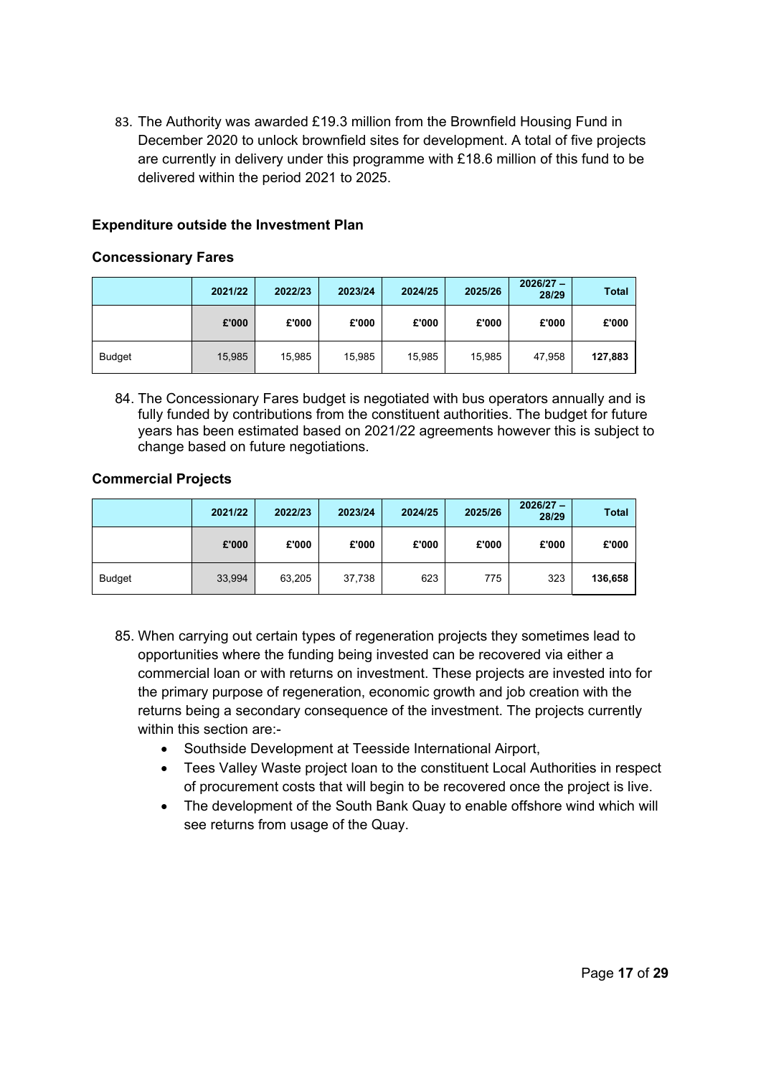83. The Authority was awarded £19.3 million from the Brownfield Housing Fund in December 2020 to unlock brownfield sites for development. A total of five projects are currently in delivery under this programme with £18.6 million of this fund to be delivered within the period 2021 to 2025.

## **Expenditure outside the Investment Plan**

#### **Concessionary Fares**

|               | 2021/22 | 2022/23 | 2023/24 | 2024/25 | 2025/26 | $2026/27 -$<br>28/29 | <b>Total</b> |
|---------------|---------|---------|---------|---------|---------|----------------------|--------------|
|               | £'000   | £'000   | £'000   | £'000   | £'000   | £'000                | £'000        |
| <b>Budget</b> | 15,985  | 15,985  | 15,985  | 15,985  | 15,985  | 47,958               | 127,883      |

84. The Concessionary Fares budget is negotiated with bus operators annually and is fully funded by contributions from the constituent authorities. The budget for future years has been estimated based on 2021/22 agreements however this is subject to change based on future negotiations.

#### **Commercial Projects**

|               | 2021/22 | 2022/23 | 2023/24 | 2024/25 | 2025/26 | $2026/27 -$<br>28/29 | <b>Total</b> |
|---------------|---------|---------|---------|---------|---------|----------------------|--------------|
|               | £'000   | £'000   | £'000   | £'000   | £'000   | £'000                | £'000        |
| <b>Budget</b> | 33,994  | 63,205  | 37,738  | 623     | 775     | 323                  | 136,658      |

- 85. When carrying out certain types of regeneration projects they sometimes lead to opportunities where the funding being invested can be recovered via either a commercial loan or with returns on investment. These projects are invested into for the primary purpose of regeneration, economic growth and job creation with the returns being a secondary consequence of the investment. The projects currently within this section are:-
	- Southside Development at Teesside International Airport,
	- Tees Valley Waste project loan to the constituent Local Authorities in respect of procurement costs that will begin to be recovered once the project is live.
	- The development of the South Bank Quay to enable offshore wind which will see returns from usage of the Quay.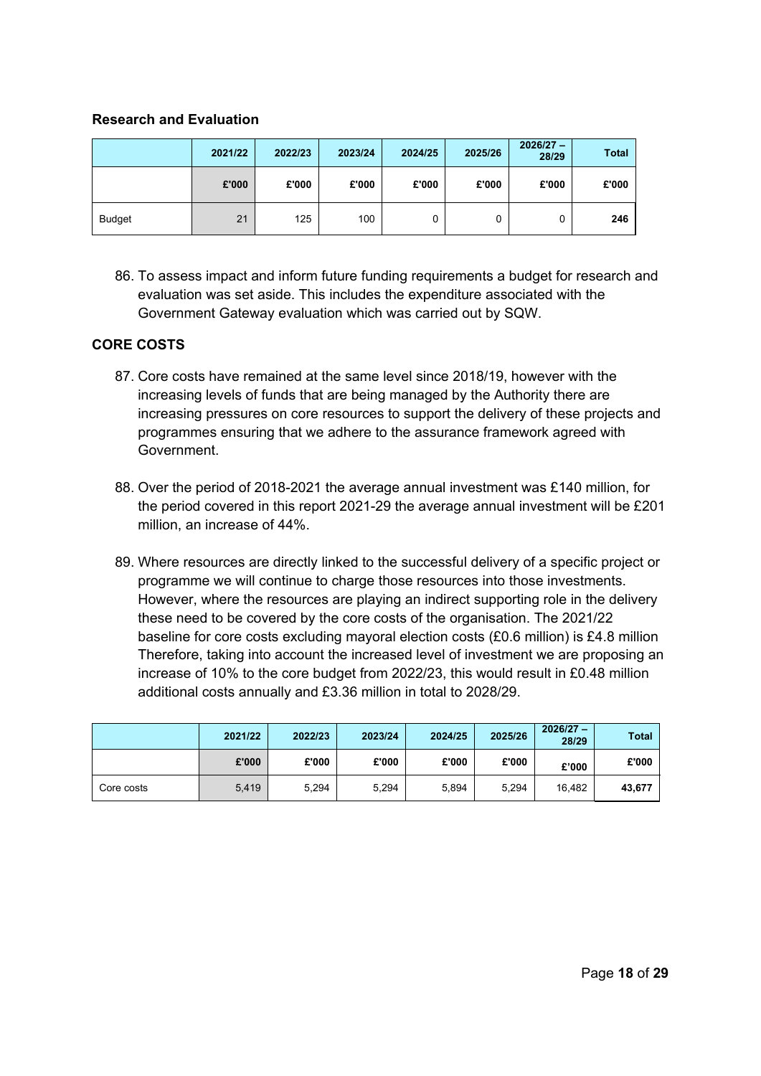#### **Research and Evaluation**

|               | 2021/22 | 2022/23 | 2023/24 | 2024/25 | 2025/26 | $2026/27 -$<br>28/29 | <b>Total</b> |
|---------------|---------|---------|---------|---------|---------|----------------------|--------------|
|               | £'000   | £'000   | £'000   | £'000   | £'000   | £'000                | £'000        |
| <b>Budget</b> | 21      | 125     | 100     | 0       | 0       | 0                    | 246          |

86. To assess impact and inform future funding requirements a budget for research and evaluation was set aside. This includes the expenditure associated with the Government Gateway evaluation which was carried out by SQW.

## **CORE COSTS**

- 87. Core costs have remained at the same level since 2018/19, however with the increasing levels of funds that are being managed by the Authority there are increasing pressures on core resources to support the delivery of these projects and programmes ensuring that we adhere to the assurance framework agreed with Government.
- 88. Over the period of 2018-2021 the average annual investment was £140 million, for the period covered in this report 2021-29 the average annual investment will be £201 million, an increase of 44%.
- 89. Where resources are directly linked to the successful delivery of a specific project or programme we will continue to charge those resources into those investments. However, where the resources are playing an indirect supporting role in the delivery these need to be covered by the core costs of the organisation. The 2021/22 baseline for core costs excluding mayoral election costs (£0.6 million) is £4.8 million Therefore, taking into account the increased level of investment we are proposing an increase of 10% to the core budget from 2022/23, this would result in £0.48 million additional costs annually and £3.36 million in total to 2028/29.

|            | 2021/22 | 2022/23 | 2023/24 | 2024/25 | 2025/26 | $2026/27 -$<br>28/29 | <b>Total</b> |
|------------|---------|---------|---------|---------|---------|----------------------|--------------|
|            | £'000   | £'000   | £'000   | £'000   | £'000   | £'000                | £'000        |
| Core costs | 5,419   | 5,294   | 5,294   | 5,894   | 5,294   | 16.482               | 43,677       |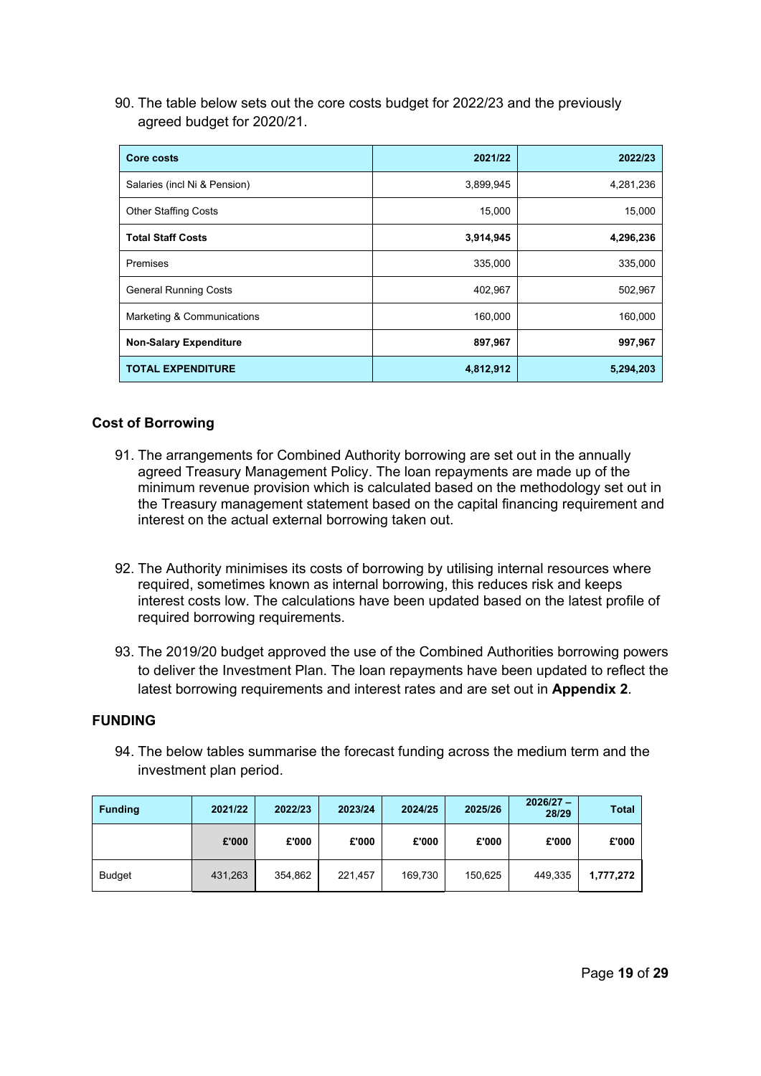90. The table below sets out the core costs budget for 2022/23 and the previously agreed budget for 2020/21.

| Core costs                    | 2021/22   | 2022/23   |
|-------------------------------|-----------|-----------|
| Salaries (incl Ni & Pension)  | 3,899,945 | 4,281,236 |
| <b>Other Staffing Costs</b>   | 15,000    | 15,000    |
| <b>Total Staff Costs</b>      | 3,914,945 | 4,296,236 |
| Premises                      | 335,000   | 335,000   |
| <b>General Running Costs</b>  | 402,967   | 502,967   |
| Marketing & Communications    | 160,000   | 160,000   |
| <b>Non-Salary Expenditure</b> | 897,967   | 997,967   |
| <b>TOTAL EXPENDITURE</b>      | 4,812,912 | 5,294,203 |

#### **Cost of Borrowing**

- 91. The arrangements for Combined Authority borrowing are set out in the annually agreed Treasury Management Policy. The loan repayments are made up of the minimum revenue provision which is calculated based on the methodology set out in the Treasury management statement based on the capital financing requirement and interest on the actual external borrowing taken out.
- 92. The Authority minimises its costs of borrowing by utilising internal resources where required, sometimes known as internal borrowing, this reduces risk and keeps interest costs low. The calculations have been updated based on the latest profile of required borrowing requirements.
- 93. The 2019/20 budget approved the use of the Combined Authorities borrowing powers to deliver the Investment Plan. The loan repayments have been updated to reflect the latest borrowing requirements and interest rates and are set out in **Appendix 2**.

## **FUNDING**

94. The below tables summarise the forecast funding across the medium term and the investment plan period.

| <b>Funding</b> | 2021/22 | 2022/23 | 2023/24 | 2024/25 | 2025/26 | $2026/27 -$<br>28/29 | <b>Total</b> |
|----------------|---------|---------|---------|---------|---------|----------------------|--------------|
|                | £'000   | £'000   | £'000   | £'000   | £'000   | £'000                | £'000        |
| <b>Budget</b>  | 431,263 | 354,862 | 221.457 | 169.730 | 150.625 | 449,335              | 1,777,272    |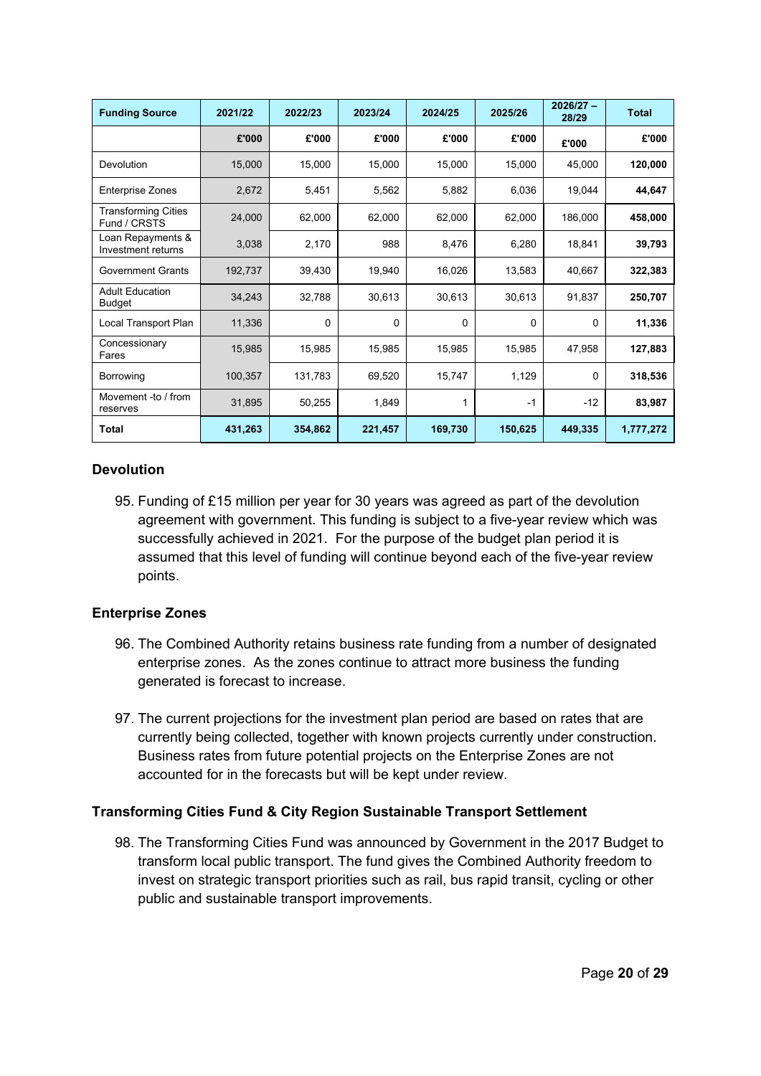| <b>Funding Source</b>                      | 2021/22 | 2022/23  | 2023/24 | 2024/25 | 2025/26  | $2026/27 -$<br>28/29 | <b>Total</b> |
|--------------------------------------------|---------|----------|---------|---------|----------|----------------------|--------------|
|                                            | £'000   | £'000    | £'000   | £'000   | £'000    | £'000                | £'000        |
| Devolution                                 | 15,000  | 15,000   | 15,000  | 15,000  | 15,000   | 45,000               | 120,000      |
| <b>Enterprise Zones</b>                    | 2,672   | 5,451    | 5,562   | 5,882   | 6,036    | 19,044               | 44,647       |
| <b>Transforming Cities</b><br>Fund / CRSTS | 24,000  | 62,000   | 62,000  | 62,000  | 62,000   | 186,000              | 458,000      |
| Loan Repayments &<br>Investment returns    | 3,038   | 2,170    | 988     | 8,476   | 6,280    | 18,841               | 39,793       |
| <b>Government Grants</b>                   | 192,737 | 39,430   | 19,940  | 16,026  | 13,583   | 40,667               | 322,383      |
| <b>Adult Education</b><br>Budget           | 34,243  | 32,788   | 30,613  | 30,613  | 30,613   | 91,837               | 250,707      |
| Local Transport Plan                       | 11,336  | $\Omega$ | 0       | 0       | $\Omega$ | 0                    | 11,336       |
| Concessionary<br>Fares                     | 15,985  | 15,985   | 15,985  | 15,985  | 15,985   | 47,958               | 127,883      |
| Borrowing                                  | 100,357 | 131,783  | 69,520  | 15,747  | 1,129    | 0                    | 318,536      |
| Movement -to / from<br>reserves            | 31,895  | 50,255   | 1,849   |         | $-1$     | $-12$                | 83,987       |
| <b>Total</b>                               | 431,263 | 354,862  | 221,457 | 169,730 | 150,625  | 449,335              | 1,777,272    |

## **Devolution**

95. Funding of £15 million per year for 30 years was agreed as part of the devolution agreement with government. This funding is subject to a five-year review which was successfully achieved in 2021. For the purpose of the budget plan period it is assumed that this level of funding will continue beyond each of the five-year review points.

#### **Enterprise Zones**

- 96. The Combined Authority retains business rate funding from a number of designated enterprise zones. As the zones continue to attract more business the funding generated is forecast to increase.
- 97. The current projections for the investment plan period are based on rates that are currently being collected, together with known projects currently under construction. Business rates from future potential projects on the Enterprise Zones are not accounted for in the forecasts but will be kept under review.

## **Transforming Cities Fund & City Region Sustainable Transport Settlement**

98. The Transforming Cities Fund was announced by Government in the 2017 Budget to transform local public transport. The fund gives the Combined Authority freedom to invest on strategic transport priorities such as rail, bus rapid transit, cycling or other public and sustainable transport improvements.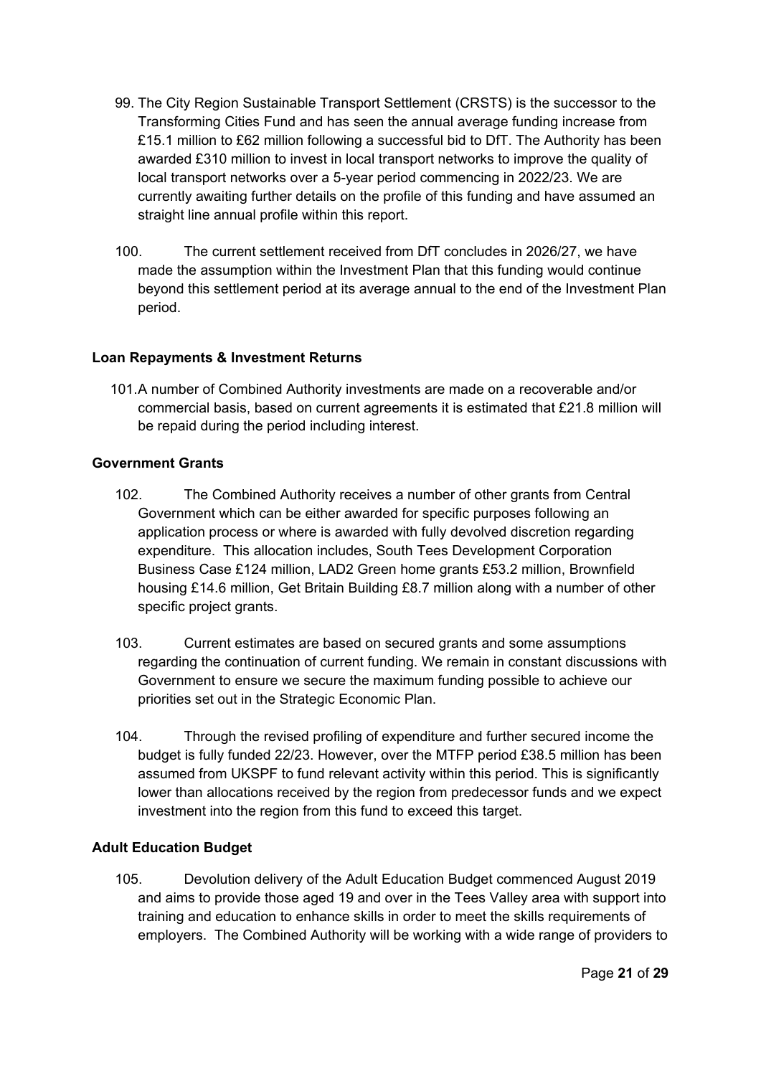- 99. The City Region Sustainable Transport Settlement (CRSTS) is the successor to the Transforming Cities Fund and has seen the annual average funding increase from £15.1 million to £62 million following a successful bid to DfT. The Authority has been awarded £310 million to invest in local transport networks to improve the quality of local transport networks over a 5-year period commencing in 2022/23. We are currently awaiting further details on the profile of this funding and have assumed an straight line annual profile within this report.
- 100. The current settlement received from DfT concludes in 2026/27, we have made the assumption within the Investment Plan that this funding would continue beyond this settlement period at its average annual to the end of the Investment Plan period.

## **Loan Repayments & Investment Returns**

101.A number of Combined Authority investments are made on a recoverable and/or commercial basis, based on current agreements it is estimated that £21.8 million will be repaid during the period including interest.

## **Government Grants**

- 102. The Combined Authority receives a number of other grants from Central Government which can be either awarded for specific purposes following an application process or where is awarded with fully devolved discretion regarding expenditure. This allocation includes, South Tees Development Corporation Business Case £124 million, LAD2 Green home grants £53.2 million, Brownfield housing £14.6 million, Get Britain Building £8.7 million along with a number of other specific project grants.
- 103. Current estimates are based on secured grants and some assumptions regarding the continuation of current funding. We remain in constant discussions with Government to ensure we secure the maximum funding possible to achieve our priorities set out in the Strategic Economic Plan.
- 104. Through the revised profiling of expenditure and further secured income the budget is fully funded 22/23. However, over the MTFP period £38.5 million has been assumed from UKSPF to fund relevant activity within this period. This is significantly lower than allocations received by the region from predecessor funds and we expect investment into the region from this fund to exceed this target.

## **Adult Education Budget**

105. Devolution delivery of the Adult Education Budget commenced August 2019 and aims to provide those aged 19 and over in the Tees Valley area with support into training and education to enhance skills in order to meet the skills requirements of employers. The Combined Authority will be working with a wide range of providers to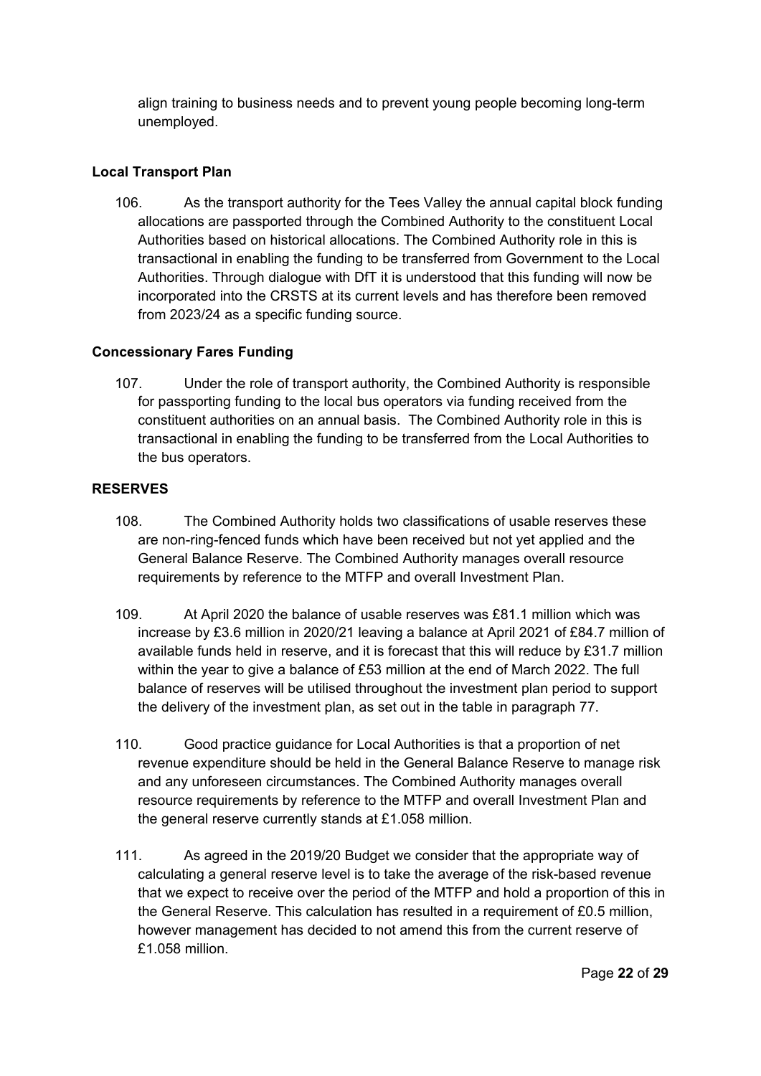align training to business needs and to prevent young people becoming long-term unemployed.

## **Local Transport Plan**

106. As the transport authority for the Tees Valley the annual capital block funding allocations are passported through the Combined Authority to the constituent Local Authorities based on historical allocations. The Combined Authority role in this is transactional in enabling the funding to be transferred from Government to the Local Authorities. Through dialogue with DfT it is understood that this funding will now be incorporated into the CRSTS at its current levels and has therefore been removed from 2023/24 as a specific funding source.

## **Concessionary Fares Funding**

107. Under the role of transport authority, the Combined Authority is responsible for passporting funding to the local bus operators via funding received from the constituent authorities on an annual basis. The Combined Authority role in this is transactional in enabling the funding to be transferred from the Local Authorities to the bus operators.

## **RESERVES**

- 108. The Combined Authority holds two classifications of usable reserves these are non-ring-fenced funds which have been received but not yet applied and the General Balance Reserve. The Combined Authority manages overall resource requirements by reference to the MTFP and overall Investment Plan.
- 109. At April 2020 the balance of usable reserves was £81.1 million which was increase by £3.6 million in 2020/21 leaving a balance at April 2021 of £84.7 million of available funds held in reserve, and it is forecast that this will reduce by £31.7 million within the year to give a balance of £53 million at the end of March 2022. The full balance of reserves will be utilised throughout the investment plan period to support the delivery of the investment plan, as set out in the table in paragraph 77.
- 110. Good practice guidance for Local Authorities is that a proportion of net revenue expenditure should be held in the General Balance Reserve to manage risk and any unforeseen circumstances. The Combined Authority manages overall resource requirements by reference to the MTFP and overall Investment Plan and the general reserve currently stands at £1.058 million.
- 111. As agreed in the 2019/20 Budget we consider that the appropriate way of calculating a general reserve level is to take the average of the risk-based revenue that we expect to receive over the period of the MTFP and hold a proportion of this in the General Reserve. This calculation has resulted in a requirement of £0.5 million, however management has decided to not amend this from the current reserve of £1.058 million.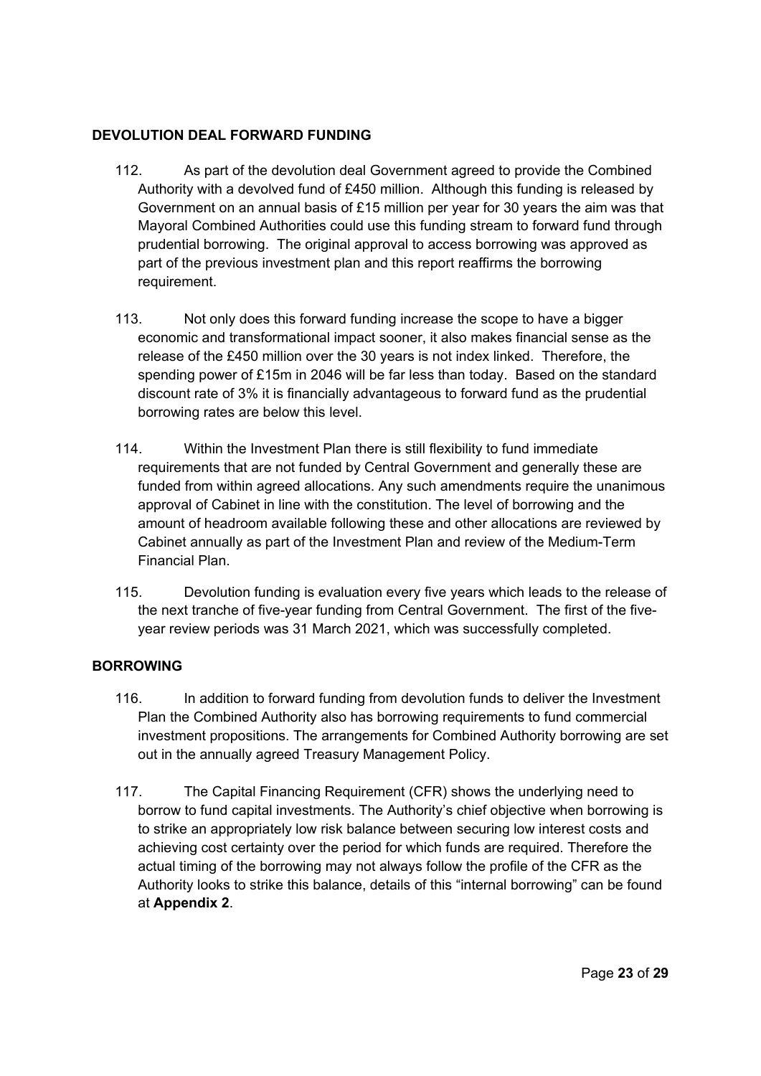## **DEVOLUTION DEAL FORWARD FUNDING**

- 112. As part of the devolution deal Government agreed to provide the Combined Authority with a devolved fund of £450 million. Although this funding is released by Government on an annual basis of £15 million per year for 30 years the aim was that Mayoral Combined Authorities could use this funding stream to forward fund through prudential borrowing. The original approval to access borrowing was approved as part of the previous investment plan and this report reaffirms the borrowing requirement.
- 113. Not only does this forward funding increase the scope to have a bigger economic and transformational impact sooner, it also makes financial sense as the release of the £450 million over the 30 years is not index linked. Therefore, the spending power of £15m in 2046 will be far less than today. Based on the standard discount rate of 3% it is financially advantageous to forward fund as the prudential borrowing rates are below this level.
- 114. Within the Investment Plan there is still flexibility to fund immediate requirements that are not funded by Central Government and generally these are funded from within agreed allocations. Any such amendments require the unanimous approval of Cabinet in line with the constitution. The level of borrowing and the amount of headroom available following these and other allocations are reviewed by Cabinet annually as part of the Investment Plan and review of the Medium-Term Financial Plan.
- 115. Devolution funding is evaluation every five years which leads to the release of the next tranche of five-year funding from Central Government. The first of the fiveyear review periods was 31 March 2021, which was successfully completed.

## **BORROWING**

- 116. In addition to forward funding from devolution funds to deliver the Investment Plan the Combined Authority also has borrowing requirements to fund commercial investment propositions. The arrangements for Combined Authority borrowing are set out in the annually agreed Treasury Management Policy.
- 117. The Capital Financing Requirement (CFR) shows the underlying need to borrow to fund capital investments. The Authority's chief objective when borrowing is to strike an appropriately low risk balance between securing low interest costs and achieving cost certainty over the period for which funds are required. Therefore the actual timing of the borrowing may not always follow the profile of the CFR as the Authority looks to strike this balance, details of this "internal borrowing" can be found at **Appendix 2**.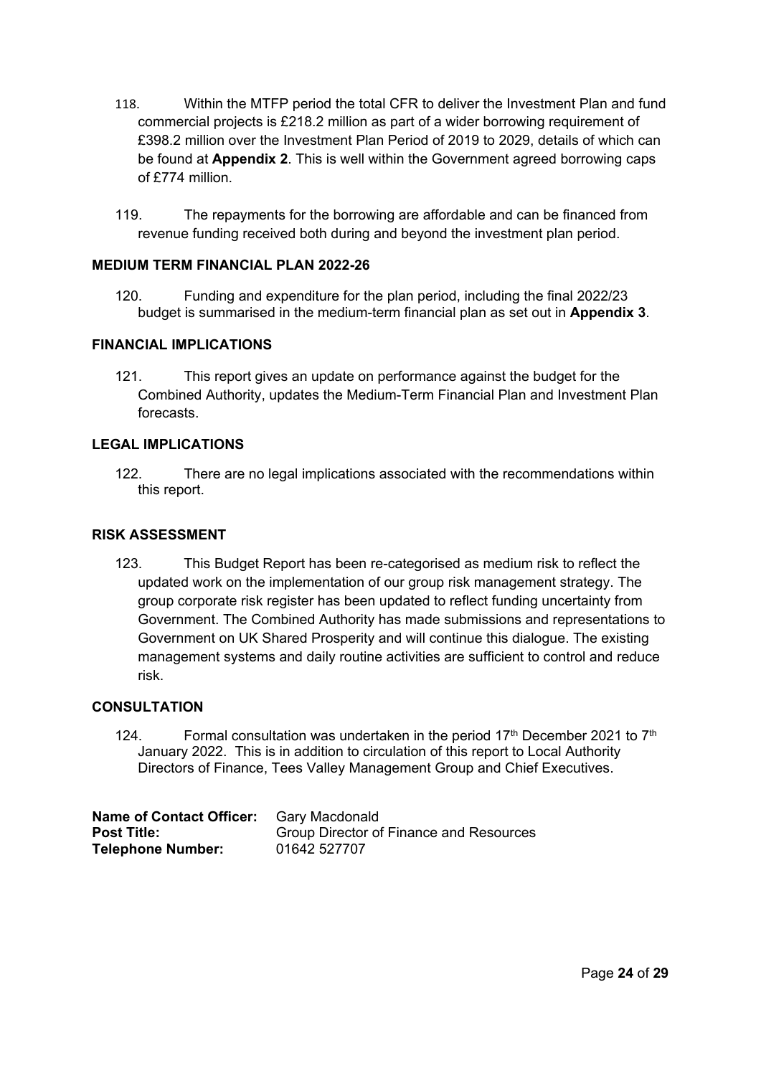- 118. Within the MTFP period the total CFR to deliver the Investment Plan and fund commercial projects is £218.2 million as part of a wider borrowing requirement of £398.2 million over the Investment Plan Period of 2019 to 2029, details of which can be found at **Appendix 2**. This is well within the Government agreed borrowing caps of £774 million.
- 119. The repayments for the borrowing are affordable and can be financed from revenue funding received both during and beyond the investment plan period.

### **MEDIUM TERM FINANCIAL PLAN 2022-26**

120. Funding and expenditure for the plan period, including the final 2022/23 budget is summarised in the medium-term financial plan as set out in **Appendix 3**.

#### **FINANCIAL IMPLICATIONS**

121. This report gives an update on performance against the budget for the Combined Authority, updates the Medium-Term Financial Plan and Investment Plan forecasts.

#### **LEGAL IMPLICATIONS**

122. There are no legal implications associated with the recommendations within this report.

#### **RISK ASSESSMENT**

123. This Budget Report has been re-categorised as medium risk to reflect the updated work on the implementation of our group risk management strategy. The group corporate risk register has been updated to reflect funding uncertainty from Government. The Combined Authority has made submissions and representations to Government on UK Shared Prosperity and will continue this dialogue. The existing management systems and daily routine activities are sufficient to control and reduce risk.

#### **CONSULTATION**

124. Formal consultation was undertaken in the period  $17<sup>th</sup>$  December 2021 to  $7<sup>th</sup>$ January 2022. This is in addition to circulation of this report to Local Authority Directors of Finance, Tees Valley Management Group and Chief Executives.

| <b>Name of Contact Officer:</b> | Garv Macdonald                                 |
|---------------------------------|------------------------------------------------|
| <b>Post Title:</b>              | <b>Group Director of Finance and Resources</b> |
| <b>Telephone Number:</b>        | 01642 527707                                   |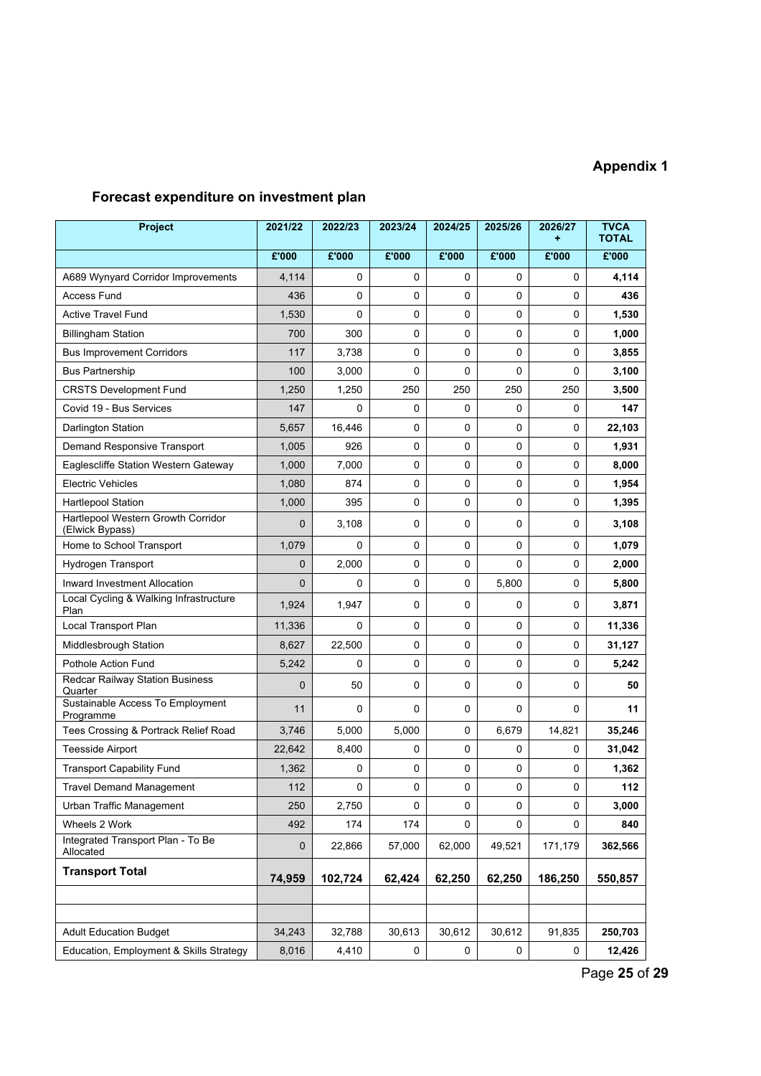# **Appendix 1**

# **Forecast expenditure on investment plan**

| Project                                               | 2021/22        | 2022/23     | 2023/24     | 2024/25 | 2025/26     | 2026/27 | <b>TVCA</b><br><b>TOTAL</b> |
|-------------------------------------------------------|----------------|-------------|-------------|---------|-------------|---------|-----------------------------|
|                                                       | E'000          | E'000       | E'000       | E'000   | E'000       | E'000   | £'000                       |
| A689 Wynyard Corridor Improvements                    | 4,114          | 0           | 0           | 0       | 0           | 0       | 4,114                       |
| <b>Access Fund</b>                                    | 436            | 0           | 0           | 0       | 0           | 0       | 436                         |
| <b>Active Travel Fund</b>                             | 1,530          | $\mathbf 0$ | 0           | 0       | $\mathbf 0$ | 0       | 1,530                       |
| <b>Billingham Station</b>                             | 700            | 300         | 0           | 0       | 0           | 0       | 1,000                       |
| <b>Bus Improvement Corridors</b>                      | 117            | 3.738       | $\Omega$    | 0       | $\Omega$    | 0       | 3,855                       |
| <b>Bus Partnership</b>                                | 100            | 3,000       | $\mathbf 0$ | 0       | 0           | 0       | 3,100                       |
| <b>CRSTS Development Fund</b>                         | 1,250          | 1,250       | 250         | 250     | 250         | 250     | 3,500                       |
| Covid 19 - Bus Services                               | 147            | $\Omega$    | $\Omega$    | 0       | 0           | 0       | 147                         |
| Darlington Station                                    | 5,657          | 16,446      | 0           | 0       | 0           | 0       | 22,103                      |
| Demand Responsive Transport                           | 1,005          | 926         | 0           | 0       | 0           | 0       | 1,931                       |
| Eaglescliffe Station Western Gateway                  | 1,000          | 7,000       | 0           | 0       | 0           | 0       | 8,000                       |
| <b>Electric Vehicles</b>                              | 1,080          | 874         | 0           | 0       | 0           | 0       | 1,954                       |
| <b>Hartlepool Station</b>                             | 1,000          | 395         | 0           | 0       | 0           | 0       | 1,395                       |
| Hartlepool Western Growth Corridor<br>(Elwick Bypass) | $\mathbf{0}$   | 3,108       | 0           | 0       | 0           | 0       | 3,108                       |
| Home to School Transport                              | 1,079          | $\Omega$    | 0           | 0       | 0           | 0       | 1,079                       |
| Hydrogen Transport                                    | $\mathbf{0}$   | 2,000       | 0           | 0       | 0           | 0       | 2,000                       |
| <b>Inward Investment Allocation</b>                   | $\overline{0}$ | 0           | 0           | 0       | 5,800       | 0       | 5,800                       |
| Local Cycling & Walking Infrastructure<br>Plan        | 1,924          | 1,947       | $\Omega$    | 0       | 0           | 0       | 3,871                       |
| Local Transport Plan                                  | 11,336         | $\mathbf 0$ | 0           | 0       | 0           | 0       | 11,336                      |
| Middlesbrough Station                                 | 8,627          | 22,500      | 0           | 0       | 0           | 0       | 31,127                      |
| Pothole Action Fund                                   | 5,242          | 0           | $\mathbf 0$ | 0       | 0           | 0       | 5,242                       |
| Redcar Railway Station Business<br>Quarter            | $\mathbf{0}$   | 50          | 0           | 0       | 0           | 0       | 50                          |
| Sustainable Access To Employment<br>Programme         | 11             | 0           | $\Omega$    | 0       | 0           | 0       | 11                          |
| Tees Crossing & Portrack Relief Road                  | 3,746          | 5,000       | 5,000       | 0       | 6,679       | 14,821  | 35,246                      |
| <b>Teesside Airport</b>                               | 22,642         | 8,400       | 0           | 0       | 0           | 0       | 31,042                      |
| <b>Transport Capability Fund</b>                      | 1,362          | 0           | $\pmb{0}$   | 0       | 0           | 0       | 1,362                       |
| <b>Travel Demand Management</b>                       | 112            | $\pmb{0}$   | 0           | 0       | 0           | 0       | 112                         |
| Urban Traffic Management                              | 250            | 2,750       | 0           | 0       | 0           | 0       | 3,000                       |
| Wheels 2 Work                                         | 492            | 174         | 174         | 0       | 0           | 0       | 840                         |
| Integrated Transport Plan - To Be<br>Allocated        | $\mathbf 0$    | 22,866      | 57,000      | 62,000  | 49,521      | 171,179 | 362,566                     |
| <b>Transport Total</b>                                | 74,959         | 102,724     | 62,424      | 62,250  | 62,250      | 186,250 | 550,857                     |
|                                                       |                |             |             |         |             |         |                             |
|                                                       |                |             |             |         |             |         |                             |
| <b>Adult Education Budget</b>                         | 34,243         | 32,788      | 30,613      | 30,612  | 30,612      | 91,835  | 250,703                     |
| Education, Employment & Skills Strategy               | 8,016          | 4,410       | 0           | 0       | 0           | 0       | 12,426                      |

Page **25** of **29**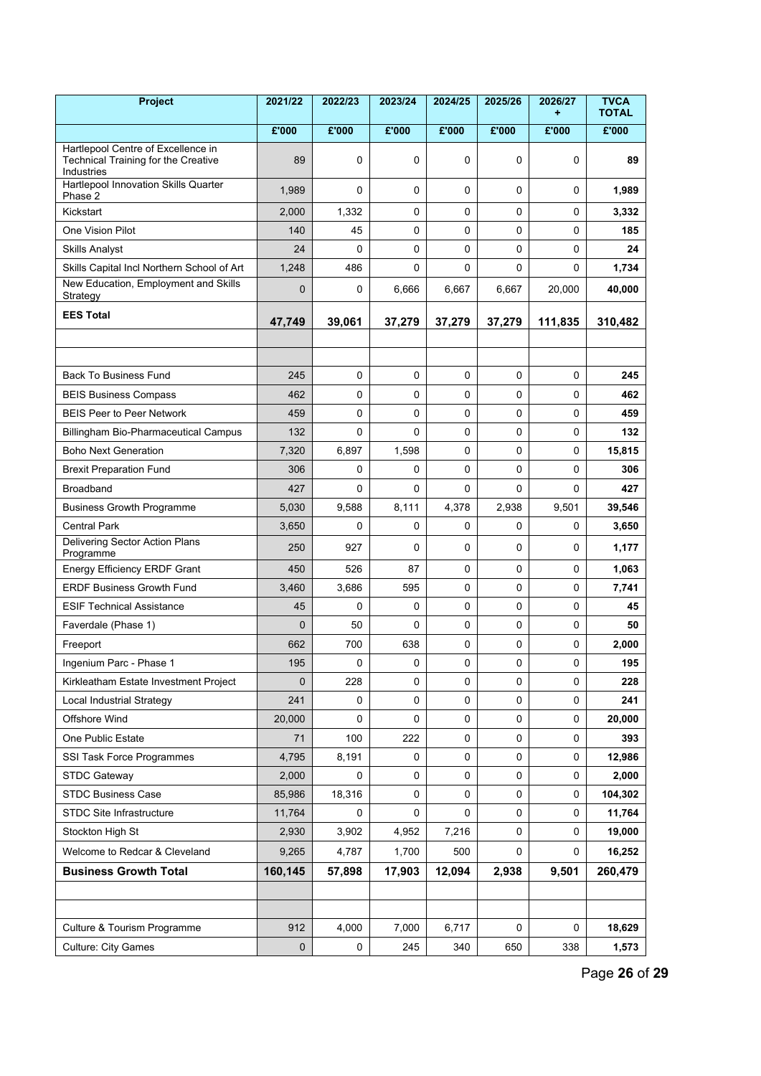| Project                                                                                 | 2021/22      | 2022/23     | 2023/24 | 2024/25     | 2025/26     | 2026/27<br>÷ | <b>TVCA</b><br><b>TOTAL</b> |
|-----------------------------------------------------------------------------------------|--------------|-------------|---------|-------------|-------------|--------------|-----------------------------|
|                                                                                         | E'000        | E'000       | E'000   | E'000       | E'000       | E'000        | E'000                       |
| Hartlepool Centre of Excellence in<br>Technical Training for the Creative<br>Industries | 89           | 0           | 0       | $\mathbf 0$ | 0           | 0            | 89                          |
| Hartlepool Innovation Skills Quarter<br>Phase 2                                         | 1,989        | 0           | 0       | 0           | 0           | 0            | 1,989                       |
| Kickstart                                                                               | 2,000        | 1,332       | 0       | 0           | 0           | 0            | 3,332                       |
| <b>One Vision Pilot</b>                                                                 | 140          | 45          | 0       | 0           | 0           | 0            | 185                         |
| <b>Skills Analyst</b>                                                                   | 24           | 0           | 0       | $\mathbf 0$ | 0           | 0            | 24                          |
| Skills Capital Incl Northern School of Art                                              | 1,248        | 486         | 0       | 0           | 0           | 0            | 1,734                       |
| New Education, Employment and Skills<br>Strategy                                        | $\mathbf{0}$ | 0           | 6,666   | 6,667       | 6,667       | 20,000       | 40,000                      |
| <b>EES Total</b>                                                                        | 47,749       | 39,061      | 37,279  | 37,279      | 37,279      | 111,835      | 310,482                     |
|                                                                                         |              |             |         |             |             |              |                             |
|                                                                                         |              |             |         |             |             |              |                             |
| <b>Back To Business Fund</b>                                                            | 245          | $\mathbf 0$ | 0       | $\mathbf 0$ | $\mathbf 0$ | 0            | 245                         |
| <b>BEIS Business Compass</b>                                                            | 462          | 0           | 0       | $\mathbf 0$ | 0           | 0            | 462                         |
| <b>BEIS Peer to Peer Network</b>                                                        | 459          | $\mathbf 0$ | 0       | 0           | 0           | 0            | 459                         |
| <b>Billingham Bio-Pharmaceutical Campus</b>                                             | 132          | 0           | 0       | $\mathbf 0$ | 0           | 0            | 132                         |
| <b>Boho Next Generation</b>                                                             | 7,320        | 6,897       | 1,598   | $\mathbf 0$ | 0           | 0            | 15,815                      |
| <b>Brexit Preparation Fund</b>                                                          | 306          | $\Omega$    | 0       | 0           | 0           | 0            | 306                         |
| <b>Broadband</b>                                                                        | 427          | $\Omega$    | 0       | $\Omega$    | 0           | 0            | 427                         |
| <b>Business Growth Programme</b>                                                        | 5,030        | 9,588       | 8,111   | 4,378       | 2,938       | 9,501        | 39,546                      |
| <b>Central Park</b>                                                                     | 3,650        | 0           | 0       | 0           | 0           | 0            | 3,650                       |
| Delivering Sector Action Plans<br>Programme                                             | 250          | 927         | 0       | 0           | $\Omega$    | 0            | 1,177                       |
| Energy Efficiency ERDF Grant                                                            | 450          | 526         | 87      | $\mathbf 0$ | 0           | 0            | 1,063                       |
| <b>ERDF Business Growth Fund</b>                                                        | 3,460        | 3,686       | 595     | $\mathsf 0$ | 0           | 0            | 7,741                       |
| <b>ESIF Technical Assistance</b>                                                        | 45           | $\Omega$    | 0       | $\mathbf 0$ | 0           | 0            | 45                          |
| Faverdale (Phase 1)                                                                     | $\mathbf{0}$ | 50          | 0       | $\mathsf 0$ | 0           | 0            | 50                          |
| Freeport                                                                                | 662          | 700         | 638     | 0           | 0           | 0            | 2,000                       |
| Ingenium Parc - Phase 1                                                                 | 195          | 0           | 0       | $\mathbf 0$ | 0           | 0            | 195                         |
| Kirkleatham Estate Investment Project                                                   | 0            | 228         | 0       | 0           | 0           | 0            | 228                         |
| Local Industrial Strategy                                                               | 241          | 0           | 0       | $\mathsf 0$ | $\mathbf 0$ | 0            | 241                         |
| Offshore Wind                                                                           | 20,000       | 0           | 0       | 0           | 0           | 0            | 20,000                      |
| One Public Estate                                                                       | 71           | 100         | 222     | $\mathbf 0$ | 0           | 0            | 393                         |
| SSI Task Force Programmes                                                               | 4,795        | 8,191       | 0       | 0           | 0           | 0            | 12,986                      |
| <b>STDC Gateway</b>                                                                     | 2,000        | $\Omega$    | 0       | $\mathbf 0$ | 0           | 0            | 2,000                       |
| <b>STDC Business Case</b>                                                               | 85,986       | 18,316      | 0       | 0           | 0           | 0            | 104,302                     |
| STDC Site Infrastructure                                                                | 11,764       | 0           | 0       | 0           | 0           | 0            | 11,764                      |
| Stockton High St                                                                        | 2,930        | 3,902       | 4,952   | 7,216       | 0           | 0            | 19,000                      |
| Welcome to Redcar & Cleveland                                                           | 9,265        | 4,787       | 1,700   | 500         | 0           | 0            | 16,252                      |
| <b>Business Growth Total</b>                                                            | 160,145      | 57,898      | 17,903  | 12,094      | 2,938       | 9,501        | 260,479                     |
|                                                                                         |              |             |         |             |             |              |                             |
|                                                                                         |              |             |         |             |             |              |                             |
| Culture & Tourism Programme                                                             | 912          | 4,000       | 7,000   | 6,717       | 0           | 0            | 18,629                      |
| <b>Culture: City Games</b>                                                              | $\pmb{0}$    | 0           | 245     | 340         | 650         | 338          | 1,573                       |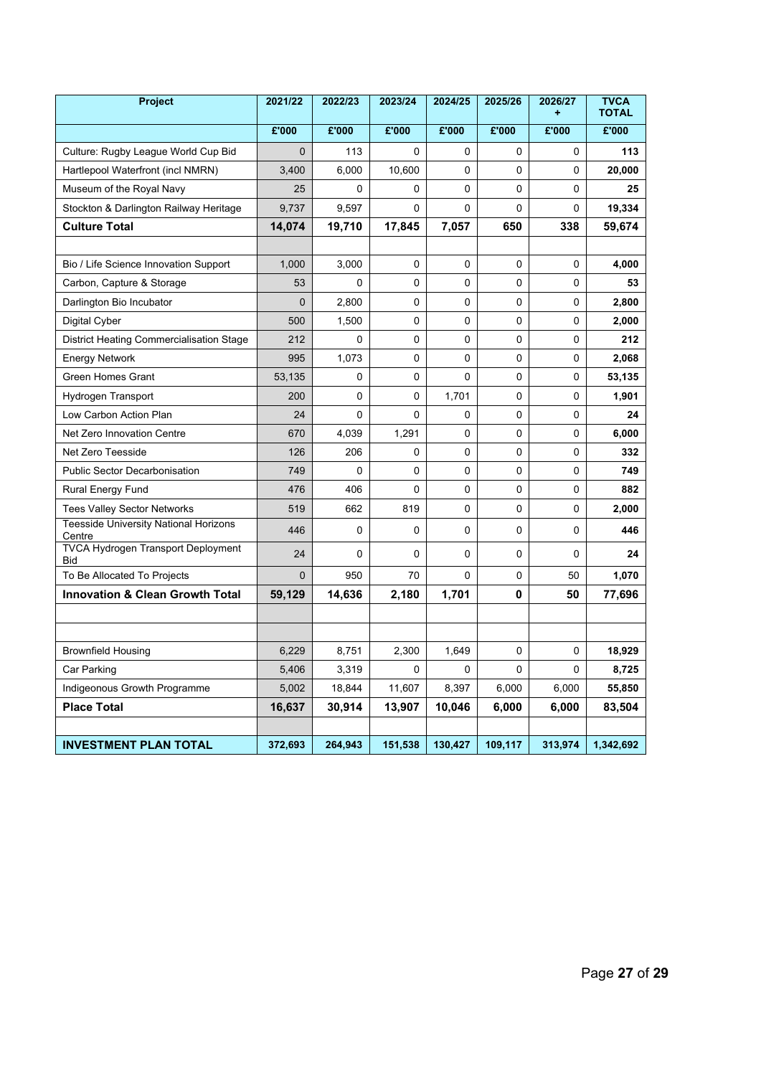| <b>Project</b>                                         | 2021/22      | 2022/23     | 2023/24  | 2024/25 | 2025/26      | 2026/27  | <b>TVCA</b><br><b>TOTAL</b> |
|--------------------------------------------------------|--------------|-------------|----------|---------|--------------|----------|-----------------------------|
|                                                        | £'000        | £'000       | £'000    | £'000   | E'000        | E'000    | £'000                       |
| Culture: Rugby League World Cup Bid                    | $\mathbf 0$  | 113         | $\Omega$ | 0       | 0            | 0        | 113                         |
| Hartlepool Waterfront (incl NMRN)                      | 3,400        | 6,000       | 10,600   | 0       | $\mathbf{0}$ | $\Omega$ | 20,000                      |
| Museum of the Royal Navy                               | 25           | $\mathbf 0$ | 0        | 0       | 0            | 0        | 25                          |
| Stockton & Darlington Railway Heritage                 | 9,737        | 9,597       | 0        | 0       | 0            | 0        | 19,334                      |
| <b>Culture Total</b>                                   | 14,074       | 19,710      | 17,845   | 7,057   | 650          | 338      | 59,674                      |
|                                                        |              |             |          |         |              |          |                             |
| Bio / Life Science Innovation Support                  | 1,000        | 3,000       | $\Omega$ | 0       | $\Omega$     | $\Omega$ | 4,000                       |
| Carbon, Capture & Storage                              | 53           | 0           | 0        | 0       | 0            | 0        | 53                          |
| Darlington Bio Incubator                               | $\mathbf 0$  | 2,800       | 0        | 0       | 0            | 0        | 2,800                       |
| Digital Cyber                                          | 500          | 1,500       | 0        | 0       | 0            | 0        | 2,000                       |
| District Heating Commercialisation Stage               | 212          | $\Omega$    | $\Omega$ | 0       | $\mathbf{0}$ | 0        | 212                         |
| <b>Energy Network</b>                                  | 995          | 1,073       | $\Omega$ | 0       | $\Omega$     | 0        | 2,068                       |
| Green Homes Grant                                      | 53,135       | 0           | 0        | 0       | 0            | 0        | 53,135                      |
| Hydrogen Transport                                     | 200          | 0           | 0        | 1,701   | 0            | 0        | 1,901                       |
| Low Carbon Action Plan                                 | 24           | $\mathbf 0$ | $\Omega$ | 0       | 0            | 0        | 24                          |
| Net Zero Innovation Centre                             | 670          | 4,039       | 1,291    | 0       | 0            | 0        | 6,000                       |
| Net Zero Teesside                                      | 126          | 206         | 0        | 0       | 0            | 0        | 332                         |
| <b>Public Sector Decarbonisation</b>                   | 749          | $\mathbf 0$ | 0        | 0       | 0            | 0        | 749                         |
| <b>Rural Energy Fund</b>                               | 476          | 406         | $\Omega$ | 0       | 0            | 0        | 882                         |
| <b>Tees Valley Sector Networks</b>                     | 519          | 662         | 819      | 0       | 0            | 0        | 2,000                       |
| <b>Teesside University National Horizons</b><br>Centre | 446          | 0           | 0        | 0       | 0            | 0        | 446                         |
| <b>TVCA Hydrogen Transport Deployment</b><br>Bid       | 24           | 0           | 0        | 0       | 0            | 0        | 24                          |
| To Be Allocated To Projects                            | $\mathbf{0}$ | 950         | 70       | 0       | 0            | 50       | 1,070                       |
| <b>Innovation &amp; Clean Growth Total</b>             | 59,129       | 14,636      | 2,180    | 1,701   | 0            | 50       | 77,696                      |
|                                                        |              |             |          |         |              |          |                             |
|                                                        |              |             |          |         |              |          |                             |
| <b>Brownfield Housing</b>                              | 6,229        | 8,751       | 2,300    | 1,649   | 0            | 0        | 18,929                      |
| Car Parking                                            | 5,406        | 3,319       | 0        | 0       | 0            | 0        | 8,725                       |
| Indigeonous Growth Programme                           | 5,002        | 18,844      | 11,607   | 8,397   | 6,000        | 6,000    | 55,850                      |
| <b>Place Total</b>                                     | 16,637       | 30,914      | 13,907   | 10,046  | 6,000        | 6,000    | 83,504                      |
|                                                        |              |             |          |         |              |          |                             |
| <b>INVESTMENT PLAN TOTAL</b>                           | 372,693      | 264,943     | 151,538  | 130,427 | 109,117      | 313,974  | 1,342,692                   |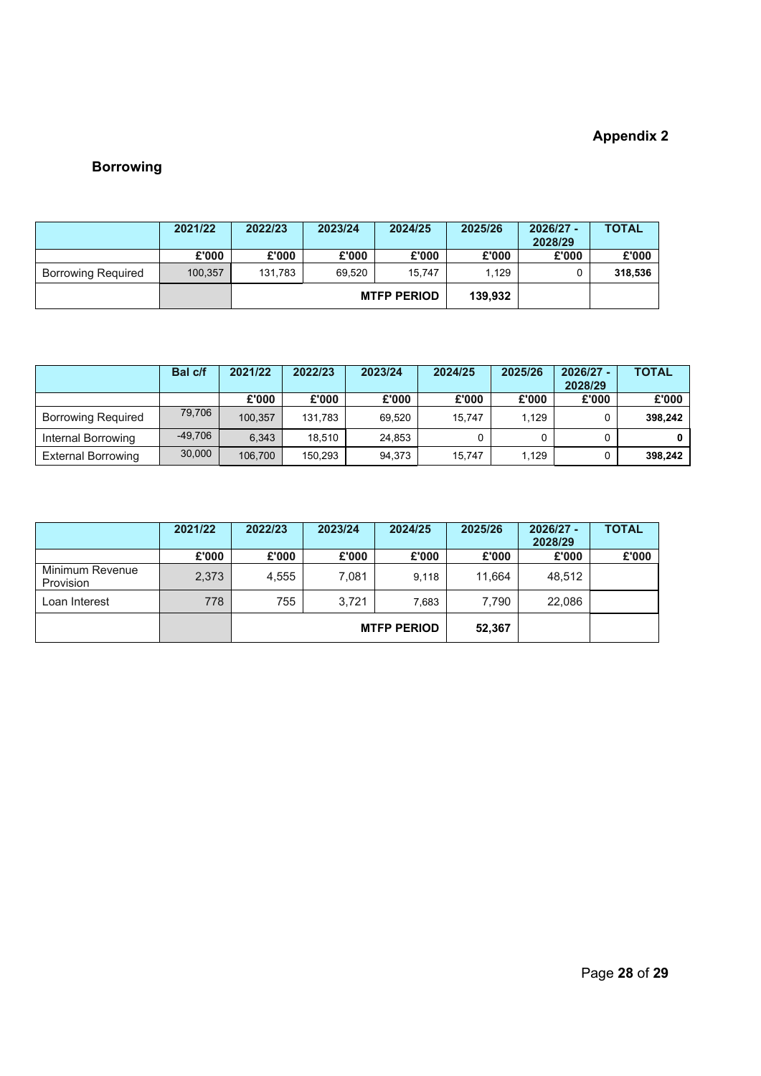# **Appendix 2**

# **Borrowing**

|                           | 2021/22 | 2022/23 | 2023/24 | 2024/25            | 2025/26 | 2026/27 - | <b>TOTAL</b> |
|---------------------------|---------|---------|---------|--------------------|---------|-----------|--------------|
|                           |         |         |         |                    |         | 2028/29   |              |
|                           | £'000   | £'000   | £'000   | £'000              | £'000   | £'000     | £'000        |
| <b>Borrowing Required</b> | 100.357 | 131.783 | 69.520  | 15.747             | 1.129   |           | 318,536      |
|                           |         |         |         | <b>MTFP PERIOD</b> | 139.932 |           |              |

|                           | Bal c/f   | 2021/22 | 2022/23 | 2023/24 | 2024/25 | 2025/26 | $2026/27 -$<br>2028/29 | <b>TOTAL</b> |
|---------------------------|-----------|---------|---------|---------|---------|---------|------------------------|--------------|
|                           |           | £'000   | £'000   | £'000   | £'000   | £'000   | £'000                  | £'000        |
| <b>Borrowing Required</b> | 79.706    | 100.357 | 131.783 | 69.520  | 15.747  | 1.129   |                        | 398,242      |
| Internal Borrowing        | $-49.706$ | 6.343   | 18.510  | 24.853  |         | 0       |                        |              |
| <b>External Borrowing</b> | 30,000    | 106,700 | 150,293 | 94,373  | 15.747  | 1.129   |                        | 398.242      |

|                              | 2021/22 | 2022/23 | 2023/24 | 2024/25            | 2025/26 | 2026/27 -<br>2028/29 | <b>TOTAL</b> |
|------------------------------|---------|---------|---------|--------------------|---------|----------------------|--------------|
|                              | £'000   | £'000   | £'000   | £'000              | £'000   | £'000                | £'000        |
| Minimum Revenue<br>Provision | 2.373   | 4.555   | 7,081   | 9.118              | 11.664  | 48,512               |              |
| Loan Interest                | 778     | 755     | 3.721   | 7,683              | 7.790   | 22,086               |              |
|                              |         |         |         | <b>MTFP PERIOD</b> | 52,367  |                      |              |